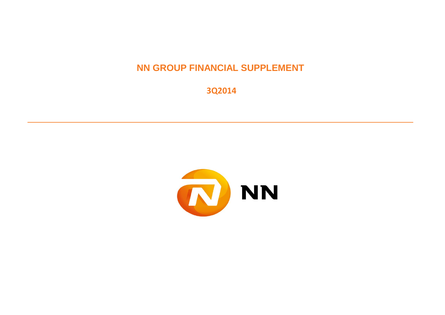**NN GROUP FINANCIAL SUPPLEMENT**

 **3Q2014**

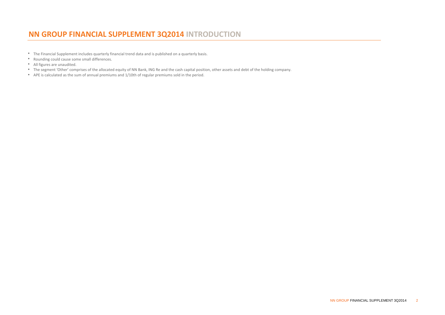# **NN GROUP FINANCIAL SUPPLEMENT 3Q2014 INTRODUCTION**

- The Financial Supplement includes quarterly financial trend data and is published on a quarterly basis.
- Rounding could cause some small differences.
- All figures are unaudited.
- The segment 'Other' comprises of the allocated equity of NN Bank, ING Re and the cash capital position, other assets and debt of the holding company.
- APE is calculated as the sum of annual premiums and 1/10th of regular premiums sold in the period.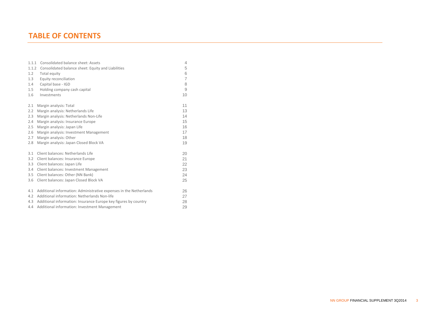# **TABLE OF CONTENTS**

| 1.1.1 | Consolidated balance sheet: Assets                                 | 4              |
|-------|--------------------------------------------------------------------|----------------|
| 1.1.2 | Consolidated balance sheet: Equity and Liabilities                 | 5              |
| 1.2   | Total equity                                                       | 6              |
| 1.3   | Equity reconciliation                                              | $\overline{7}$ |
| 1.4   | Capital base - IGD                                                 | 8              |
| 1.5   | Holding company cash capital                                       | 9              |
| 1.6   | Investments                                                        | 10             |
| 2.1   | Margin analysis: Total                                             | 11             |
| 2.2   | Margin analysis: Netherlands Life                                  | 13             |
| 2.3   | Margin analysis: Netherlands Non-Life                              | 14             |
| 2.4   | Margin analysis: Insurance Europe                                  | 15             |
| 2.5   | Margin analysis: Japan Life                                        | 16             |
| 2.6   | Margin analysis: Investment Management                             | 17             |
| 2.7   | Margin analysis: Other                                             | 18             |
| 2.8   | Margin analysis: Japan Closed Block VA                             | 19             |
| 3.1   | Client balances: Netherlands Life                                  | 20             |
| 3.2   | Client balances: Insurance Europe                                  | 21             |
| 3.3   | Client balances: Japan Life                                        | 22             |
| 3.4   | Client balances: Investment Management                             | 23             |
| 3.5   | Client balances: Other (NN Bank)                                   | 24             |
| 3.6   | Client balances: Japan Closed Block VA                             | 25             |
| 4.1   | Additional information: Administrative expenses in the Netherlands | 26             |
| 4.2   | Additional information: Netherlands Non-life                       | 27             |
| 4.3   | Additional information: Insurance Europe key figures by country    | 28             |

4.4 Additional information: Investment Management 29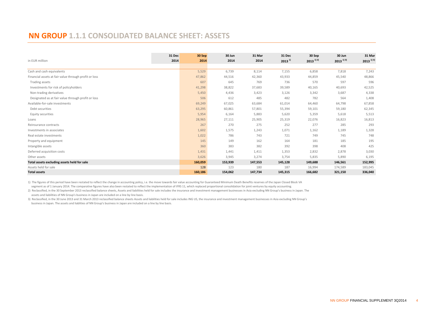# **NN GROUP 1.1.1 CONSOLIDATED BALANCE SHEET: ASSETS**

|                                                       | 31 Dec | 30 Sep  | 30 Jun  | 31 Mar  | 31 Dec               | 30 Sep                  | 30 Jun                  | 31 Mar                  |
|-------------------------------------------------------|--------|---------|---------|---------|----------------------|-------------------------|-------------------------|-------------------------|
| in EUR million                                        | 2014   | 2014    | 2014    | 2014    | $2013$ <sup>1)</sup> | $2013$ <sup>1) 2)</sup> | $2013$ <sup>1) 3)</sup> | $2013$ <sup>1) 3)</sup> |
|                                                       |        |         |         |         |                      |                         |                         |                         |
| Cash and cash equivalents                             |        | 5,529   | 6,739   | 8,114   | 7,155                | 6,858                   | 7,818                   | 7,243                   |
| Financial assets at fair value through profit or loss |        | 47,862  | 44,516  | 42,360  | 43,933               | 44,859                  | 45,540                  | 48,866                  |
| Trading assets                                        |        | 607     | 645     | 769     | 736                  | 570                     | 597                     | 596                     |
| Investments for risk of policyholders                 |        | 41,298  | 38,822  | 37,683  | 39,589               | 40,165                  | 40,693                  | 42,525                  |
| Non-trading derivatives                               |        | 5,450   | 4,436   | 3,423   | 3,126                | 3,342                   | 3,687                   | 4,338                   |
| Designated as at fair value through profit or loss    |        | 506     | 612     | 485     | 482                  | 782                     | 564                     | 1,408                   |
| Available-for-sale investments                        |        | 69,249  | 67,025  | 63,684  | 61,014               | 64,460                  | 64,798                  | 67,858                  |
| Debt securities                                       |        | 63,295  | 60,861  | 57,801  | 55,394               | 59,101                  | 59,180                  | 62,345                  |
| Equity securities                                     |        | 5,954   | 6,164   | 5,883   | 5,620                | 5,359                   | 5,618                   | 5,513                   |
| Loans                                                 |        | 28,965  | 27,111  | 25,905  | 25,319               | 22,076                  | 16,823                  | 16,813                  |
| Reinsurance contracts                                 |        | 267     | 270     | 275     | 252                  | 277                     | 285                     | 293                     |
| Investments in associates                             |        | 1,602   | 1,575   | 1,243   | 1,071                | 1,162                   | 1,189                   | 1,328                   |
| Real estate investments                               |        | 1,022   | 786     | 743     | 721                  | 749                     | 745                     | 748                     |
| Property and equipment                                |        | 145     | 149     | 162     | 164                  | 181                     | 185                     | 195                     |
| Intangible assets                                     |        | 360     | 383     | 382     | 392                  | 398                     | 408                     | 425                     |
| Deferred acquisition costs                            |        | 1,431   | 1,441   | 1,411   | 1,353                | 2,832                   | 2,878                   | 3,030                   |
| Other assets                                          |        | 3,626   | 3,945   | 3,274   | 3,754                | 5,835                   | 5,890                   | 6,195                   |
| Total assets excluding assets held for sale           |        | 160,059 | 153,939 | 147,553 | 145,128              | 149,688                 | 146,561                 | 152,995                 |
| Assets held for sale                                  |        | 128     | 123     | 180     | 187                  | 16,994                  | 174,589                 | 183,045                 |
| <b>Total assets</b>                                   |        | 160,186 | 154,062 | 147,734 | 145,315              | 166,682                 | 321,150                 | 336,040                 |

1) The figures of this period have been restated to reflect the change in accounting policy, i.e. the move towards fair value accounting for Guaranteed Minimum Death Benefits reserves of the Japan Closed Block VA

segment as of 1 January 2014. The comparative figures have also been restated to reflect the implementation of IFRS 11, which replaced proportional consolidation for joint ventures by equity accounting.

2) Reclassified, in the 30 September 2013 reclassified balance sheets, Assets and liabilities held for sale includes the insurance and investment management businesses in Asia excluding NN Group's business in Japan. The assets and liabilities of NN Group's business in Japan are included on a line by line basis.

3) Reclassified, in the 30 June 2013 and 31 March 2013 reclassified balance sheets Assets and liabilities held for sale includes ING US, the insurance and investment management businesses in Asia excluding NN Group's business in Japan. The assets and liablities of NN Group's business in Japan are included on a line by line basis.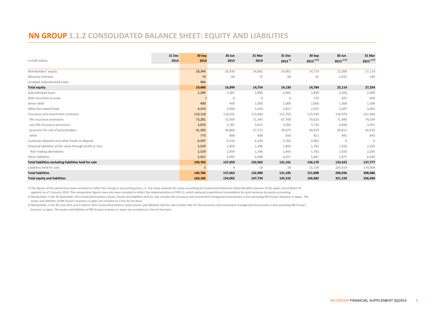# **NN GROUP 1.1.2 CONSOLIDATED BALANCE SHEET: EQUITY AND LIABILITIES**

|                                                             | 31 Dec | 30 Sep  | 30 Jun         | 31 Mar       | 31 Dec      | 30 Sep                  | 30 Jun                  | 31 Mar                  |
|-------------------------------------------------------------|--------|---------|----------------|--------------|-------------|-------------------------|-------------------------|-------------------------|
| in EUR million                                              | 2014   | 2014    | 2014           | 2014         | $2013^{11}$ | $2013$ <sup>1) 2)</sup> | $2013$ <sup>1) 3)</sup> | $2013$ <sup>1) 3)</sup> |
| Shareholders' equity                                        |        | 18,344  | 16,939         | 14,682       | 14,062      | 14,719                  | 22,089                  | 27,114                  |
| Minority interests                                          |        | 70      | 60             | 72           | 68          | 65                      | 3,025                   | 240                     |
| Undated Subordinated notes                                  |        | 986     |                |              |             |                         |                         |                         |
| <b>Total equity</b>                                         |        | 19,400  | 16,999         | 14,754       | 14,130      | 14,784                  | 25,114                  | 27,354                  |
| Subordinated loans                                          |        | 2,299   | 3,287          | 2,890        | 2,892       | 2,894                   | 2,958                   | 2,996                   |
| Debt securities in issue                                    |        |         | $\mathbf 0$    | $\mathbf{0}$ | $\mathbf 0$ | 270                     | 693                     | 694                     |
| Senior debt                                                 |        | 400     | 400            | 1,000        | 1,000       | 2,000                   | 1,308                   | 1,309                   |
| Other borrowed funds                                        |        | 4,419   | 3,968          | 3,243        | 3,817       | 2,955                   | 2,687                   | 3,062                   |
| Insurance and investment contracts:                         |        | 119,118 | 116,031        | 113,836      | 111,769     | 115,420                 | 116,979                 | 121,466                 |
| life insurance provisions                                   |        | 73,281  | 72,569         | 71,345       | 67,700      | 70,625                  | 71,485                  | 74,039                  |
| non-life insurance provisions                               |        | 3,670   | 3,787          | 3,912        | 3,584       | 3,726                   | 3,840                   | 3,955                   |
| provision for risk of policyholders                         |        | 41,393  | 38,869         | 37,772       | 39,675      | 40,259                  | 40,812                  | 42,626                  |
| other                                                       |        | 773     | 806            | 808          | 810         | 811                     | 841                     | 845                     |
| Customer deposits and other funds on deposit                |        | 6,597   | 6,519          | 6,190        | 5,769       | 4,962                   | 0                       | $\mathbf{0}$            |
| Financial liabilities at fair value through profit or loss: |        | 2,529   | 1,859          | 1,396        | 1,843       | 1,782                   | 1,920                   | 2,205                   |
| Non-trading derivatives                                     |        | 2,529   | 1,859          | 1,396        | 1,843       | 1,782                   | 1,920                   | 2,205                   |
| Other liabilities                                           |        | 5,421   | 4,995          | 4,408        | 4,071       | 5,887                   | 5,877                   | 6,044                   |
| Total liabilities excluding liabilities held for sale       |        | 140,783 | 137,059        | 132,962      | 131,161     | 136,170                 | 132,422                 | 137,777                 |
| Liabilities held for sale                                   |        |         | $\overline{4}$ | 18           | 24          | 15,728                  | 163,614                 | 170,909                 |
| <b>Total liabilities</b>                                    |        | 140,786 | 137,063        | 132,980      | 131,185     | 151,898                 | 296,036                 | 308,686                 |
| <b>Total equity and liabilities</b>                         |        | 160,186 | 154,062        | 147,734      | 145,315     | 166,682                 | 321,150                 | 336,040                 |

1) The figures of this period have been restated to reflect the change in accounting policy, i.e. the move towards fair value accounting for Guaranteed Minimum Death Benefits reserves of the Japan Closed Block VA

segment as of 1 January 2014 .The comparative figures have also been restated to reflect the implementation of IFRS 11, which replaced proportional consolidation for joint ventures by equity accounting.

 assets and liabilities of NN Group's business in Japan are included on a line by line basis. 2) Reclassified, in the 30 September 2013 reclassified balance sheets, Assets and liabilities held for sale includes the insurance and investment management businesses in Asia excluding NN Group's business in Japan. The

 business in Japan. The assets and liabilities of NN Group's business in Japan are included on a line by line basis. 3) Reclassified, in the 30 June 2013 and 31 March 2013 reclassified balance sheets Assets and liabilities held for sale includes ING US, the insurance and investment management businesses in Asia excluding NN Group's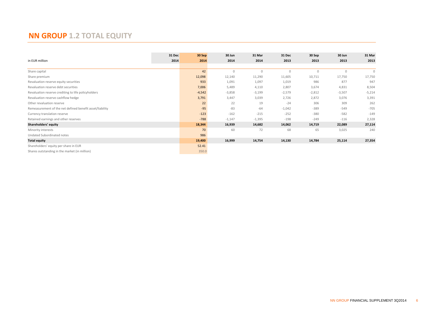# **NN GROUP 1.2 TOTAL EQUITY**

|                                                          | 31 Dec | 30 Sep   | 30 Jun   | 31 Mar   | 31 Dec   | 30 Sep       | 30 Jun       | 31 Mar   |
|----------------------------------------------------------|--------|----------|----------|----------|----------|--------------|--------------|----------|
| in EUR million                                           | 2014   | 2014     | 2014     | 2014     | 2013     | 2013         | 2013         | 2013     |
|                                                          |        |          |          |          |          |              |              |          |
| Share capital                                            |        | 42       | $\Omega$ | $\Omega$ | $\Omega$ | $\mathbf{0}$ | $\mathbf{0}$ | $\Omega$ |
| Share premium                                            |        | 12,098   | 12,140   | 11,290   | 11,605   | 10,711       | 17,750       | 17,750   |
| Revaluation reserve equity securities                    |        | 933      | 1,091    | 1,097    | 1,019    | 986          | 877          | 947      |
| Revaluation reserve debt securities                      |        | 7,006    | 5,489    | 4,110    | 2,807    | 3,674        | 4,831        | 8,504    |
| Revaluation reserve crediting to life policyholders      |        | $-4,542$ | $-3,858$ | $-3,199$ | $-2,579$ | $-2,812$     | $-3,507$     | $-5,214$ |
| Revaluation reserve cashflow hedge                       |        | 3,791    | 3,447    | 3,039    | 2,726    | 2,872        | 3,076        | 3,391    |
| Other revaluation reserve                                |        | 22       | 22       | 19       | $-24$    | 306          | 309          | 262      |
| Remeasurement of the net defined benefit asset/liability |        | $-95$    | $-83$    | $-64$    | $-1,042$ | $-389$       | $-549$       | $-705$   |
| Currency translation reserve                             |        | $-123$   | $-162$   | $-215$   | $-252$   | $-380$       | $-582$       | $-149$   |
| Retained earnings and other reserves                     |        | $-788$   | $-1,147$ | $-1,395$ | $-198$   | $-249$       | $-116$       | 2,328    |
| Shareholders' equity                                     |        | 18,344   | 16,939   | 14,682   | 14,062   | 14,719       | 22,089       | 27,114   |
| Minority interests                                       |        | 70       | 60       | 72       | 68       | 65           | 3,025        | 240      |
| Undated Subordinated notes                               |        | 986      |          |          |          |              |              |          |
| <b>Total equity</b>                                      |        | 19,400   | 16,999   | 14,754   | 14,130   | 14,784       | 25,114       | 27,354   |
| Shareholders' equity per share in EUR                    |        | 52.41    |          |          |          |              |              |          |
| Shares outstanding in the market (in million)            |        | 350.0    |          |          |          |              |              |          |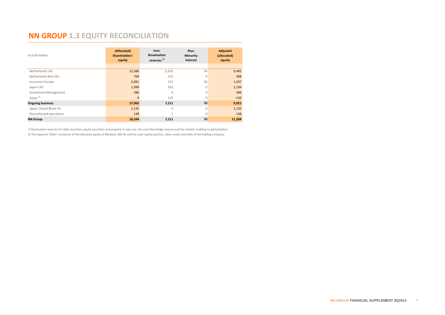# **NN GROUP 1.3 EQUITY RECONCILIATION**

| In EUR million               | (Allocated)<br>Shareholders'<br>equity | Less:<br><b>Revaluation</b><br>reserves <sup>1)</sup> | Plus:<br>Minority<br>interest | <b>Adjusted</b><br>(allocated)<br>equity |
|------------------------------|----------------------------------------|-------------------------------------------------------|-------------------------------|------------------------------------------|
|                              |                                        |                                                       |                               |                                          |
| Netherlands Life             | 12,386                                 | 5,935                                                 | 34                            | 6,485                                    |
| Netherlands Non-life         | 704                                    | 315                                                   | $\mathbf{0}$                  | 388                                      |
| Insurance Europe             | 2,091                                  | 531                                                   | 36                            | 1,597                                    |
| Japan Life                   | 1,496                                  | 302                                                   | $\mathbf{0}$                  | 1,194                                    |
| <b>Investment Management</b> | 386                                    | $\mathbf{0}$                                          | $\mathbf{0}$                  | 386                                      |
| Other $2)$                   | $\mathbf{0}$                           | 129                                                   | $\mathbf{0}$                  | $-130$                                   |
| <b>Ongoing business</b>      | 17,062                                 | 7,211                                                 | 70                            | 9,921                                    |
| Japan Closed Block VA        | 1,135                                  | $\mathbf{0}$                                          | $\mathbf{0}$                  | 1,135                                    |
| Discontinued operations      | 148                                    | $-1$                                                  | $\mathbf{0}$                  | 148                                      |
| <b>NN Group</b>              | 18,344                                 | 7,211                                                 | 70                            | 11,204                                   |

1) Revaluation reserves for debt securities, equity securities and property in own use, the cash flow hedge reserve and the related crediting to policyholders. 2) The segment 'Other' comprises of the allocated equity of NN Bank, ING Re and the cash capital position, other assets and debt of the holding company.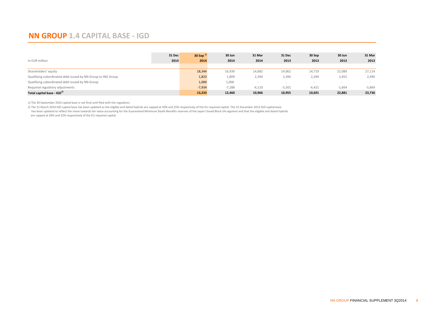# **NN GROUP 1.4 CAPITAL BASE - IGD**

| In EUR million                                               | 31 Dec<br>2014 | 30 Sep $^{1}$<br>2014 | 30 Jun<br>2014 | 31 Mar<br>2014 | 31 Dec<br>2013 | 30 Sep<br>2013 | 30 Jun<br>2013 | 31 Mar<br>2013 |
|--------------------------------------------------------------|----------------|-----------------------|----------------|----------------|----------------|----------------|----------------|----------------|
| Shareholders' equity                                         |                | 18,344                | 16,939         | 14,682         | 14,062         | 14,719         | 22,089         | 27,114         |
| Qualifying subordinated debt issued by NN Group to ING Group |                | 1,823                 | 1,809          | 2,394          | 2,394          | 2,394          | 2,455          | 2,490          |
| Qualifying subordinated debt issued by NN Group              |                | 1,000                 | 1,000          |                |                |                |                |                |
| Required regulatory adjustments                              |                | $-7,934$              | $-7,288$       | $-6,110$       | $-5,501$       | $-6,421$       | $-1,664$       | $-5,869$       |
| Total capital base - IGD <sup>2)</sup>                       |                | 13,233                | 12,460         | 10,966         | 10,955         | 10,691         | 22,881         | 23,736         |

1) The 30 September 2014 capital base is not final until filed with the regulators.

2) The 31 March 2014 IGD capital base has been updated as the eligible and dated hybrids are capped at 50% and 25% respectively of the EU required capital. The 31 December 2013 IGD capital base has been updated to reflect the move towards fair value accounting for the Guaranteed Minimum Death Benefits reserves of the Japan Closed Block VA segment and that the eligible and dated hybrids are capped at 50% and 25% respectively of the EU required capital.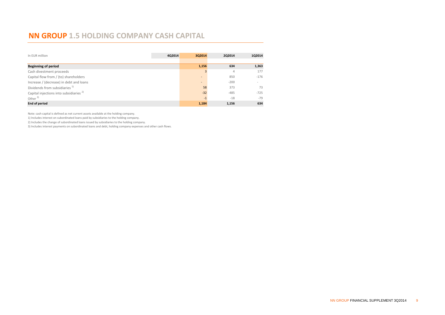# **NN GROUP 1.5 HOLDING COMPANY CASH CAPITAL**

| In EUR million                                     | 4Q2014 | 3Q2014                   | 202014 | 1Q2014 |
|----------------------------------------------------|--------|--------------------------|--------|--------|
|                                                    |        |                          |        |        |
| <b>Beginning of period</b>                         |        | 1,156                    | 634    | 1,363  |
| Cash divestment proceeds                           |        |                          | 4      | 177    |
| Capital flow from / (to) shareholders              |        | $\sim$                   | 850    | $-176$ |
| Increase / (decrease) in debt and loans            |        | $\overline{\phantom{a}}$ | $-200$ |        |
| Dividends from subsidiaries <sup>1)</sup>          |        | 58                       | 373    | 73     |
| Capital injections into subsidiaries <sup>2)</sup> |        | $-32$                    | $-485$ | $-725$ |
| Other $3)$                                         |        | $-1$                     | $-18$  | $-79$  |
| <b>End of period</b>                               |        | 1,184                    | 1,156  | 634    |

Note: cash capital is defined as net current assets available at the holding company.

1) Includes interest on subordinated loans paid by subsidiaries to the holding company.

2) Includes the change of subordinated loans issued by subsidiaries to the holding company.

3) Includes interest payments on subordinated loans and debt, holding company expenses and other cash flows.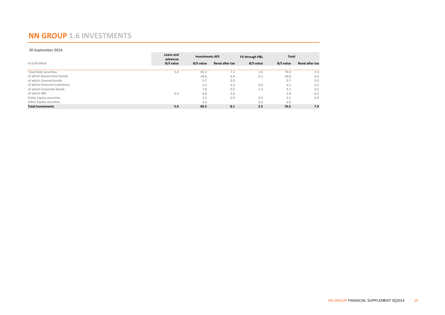# **NN GROUP 1.6 INVESTMENTS**

#### **30 September 2014**

|                                 | Loans and<br>advances | <b>Investments AFS</b> |                        | FV through P&L   | <b>Total</b> |                        |
|---------------------------------|-----------------------|------------------------|------------------------|------------------|--------------|------------------------|
| In EUR billion                  | B/S value             | B/S value              | <b>Reval after tax</b> | <b>B/S</b> value | B/S value    | <b>Reval after tax</b> |
| <b>Total Debt securities</b>    | 5.0                   | 63.3                   | 7.2                    | 1.6              | 70.0         | 7.0                    |
| of which Government bonds       |                       | 49.6                   | 6.4                    | 0.2              | 49.8         | 6.4                    |
| of which Covered bonds          |                       | 0.7                    | 0.0                    |                  | 0.7          | 0.0                    |
| of which Financial institutions |                       | 4.5                    | 0.2                    | 0.0              | 4.5          | 0.2                    |
| of which Corporate bonds        |                       | 7.8                    | 0.5                    | 1.4              | 9.1          | 0.5                    |
| of which ABS                    | 5.0                   | 0.8                    | 0.0                    |                  | 5.8          | $-0.2$                 |
| Public Equity securities        |                       | 2.5                    | 0.9                    | 0.0              | 2.5          | 0.9                    |
| Other Equity securities         |                       | 3.4                    |                        | 0.6              | 4.0          |                        |
| <b>Total Investments</b>        | 5.0                   | 69.2                   | 8.1                    | 2.2              | 76.5         | 7.9                    |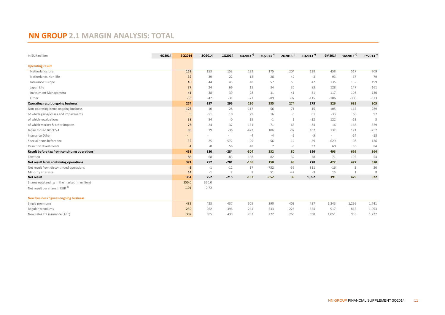# **NN GROUP 2.1 MARGIN ANALYSIS: TOTAL**

| In EUR million<br>4Q2014                      | 3Q2014            | 2Q2014 | 1Q2014                   | 4Q2013 <sup>1)</sup> | 3Q2013 <sup>1)</sup> | $2Q2013$ <sup>1)</sup> | 1Q2013 <sup>1)</sup> | 9M2014 | 9M2013 <sup>1)</sup> | FY2013 <sup>1)</sup> |
|-----------------------------------------------|-------------------|--------|--------------------------|----------------------|----------------------|------------------------|----------------------|--------|----------------------|----------------------|
| <b>Operating result</b>                       |                   |        |                          |                      |                      |                        |                      |        |                      |                      |
| Netherlands Life                              | 152               | 153    | 153                      | 192                  | 175                  | 204                    | 138                  | 458    | 517                  | 709                  |
| Netherlands Non-life                          | 32                | 39     | 22                       | 12                   | 28                   | 42                     | $-3$                 | 93     | 67                   | 79                   |
| Insurance Europe                              | 45                | 44     | 45                       | 48                   | 57                   | 53                     | 42                   | 135    | 152                  | 199                  |
| Japan Life                                    | 37                | 24     | 66                       | 15                   | 34                   | 30                     | 83                   | 128    | 147                  | 161                  |
| <b>Investment Management</b>                  | 41                | 38     | 39                       | 28                   | 31                   | 41                     | 31                   | 117    | 103                  | 130                  |
| Other                                         | $-33$             | $-42$  | $-31$                    | $-73$                | $-89$                | $-97$                  | $-115$               | $-106$ | $-300$               | $-373$               |
| <b>Operating result ongoing business</b>      | 274               | 257    | 295                      | 220                  | 235                  | 274                    | 175                  | 826    | 685                  | 905                  |
| Non-operating items ongoing business          | 123               | 10     | $-28$                    | $-117$               | $-56$                | $-71$                  | 15                   | 105    | $-112$               | $-229$               |
| of which gains/losses and impairments         | 9                 | $-51$  | 10                       | 29                   | 16                   | -9                     | 61                   | $-33$  | 68                   | 97                   |
| of which revaluations                         | 38                | 84     | $-0$                     | 15                   | $-1$                 | 1                      | $-12$                | 122    | $-12$                | 3                    |
| of which market & other impacts               | 76                | $-24$  | $-37$                    | $-161$               | $-71$                | $-63$                  | $-34$                | 16     | $-168$               | $-329$               |
| Japan Closed Block VA                         | 89                | 79     | $-36$                    | $-423$               | 106                  | $-97$                  | 162                  | 132    | 171                  | $-252$               |
| Insurance Other                               | $\qquad \qquad =$ |        | $\overline{\phantom{a}}$ | $-4$                 | $-4$                 | $-5$                   | $-5$                 | $\sim$ | $-14$                | $-18$                |
| Special items before tax                      | $-32$             | $-25$  | $-572$                   | $-29$                | $-56$                | $-12$                  | $-29$                | $-629$ | $-98$                | $-126$               |
| Result on divestments                         | $\overline{4}$    | $-0$   | 56                       | 48                   | $\overline{7}$       | -9                     | 37                   | 60     | 36                   | 84                   |
| Result before tax from continuing operations  | 458               | 320    | $-284$                   | $-304$               | 232                  | 80                     | 356                  | 493    | 669                  | 364                  |
| Taxation                                      | 86                | 68     | $-83$                    | $-138$               | 82                   | 32                     | 78                   | 71     | 192                  | 54                   |
| Net result from continuing operations         | 371               | 252    | $-201$                   | $-166$               | 150                  | 48                     | 278                  | 422    | 477                  | 310                  |
| Net result from discontinued operations       | $-3$              | $-1$   | $-12$                    | 17                   | $-752$               | $-55$                  | 811                  | $-16$  | $\overline{3}$       | 20                   |
| Minority interests                            | 14                | $-1$   | $\overline{2}$           | 8                    | 51                   | $-47$                  | $-3$                 | 15     | 1                    | 8                    |
| <b>Net result</b>                             | 354               | 252    | $-215$                   | $-157$               | $-652$               | 39                     | 1,092                | 391    | 479                  | 322                  |
| Shares outstanding in the market (in million) | 350.0             | 350.0  |                          |                      |                      |                        |                      |        |                      |                      |
| Net result per share in EUR <sup>2)</sup>     | 1.01              | 0.72   |                          |                      |                      |                        |                      |        |                      |                      |
| New business figures ongoing business         |                   |        |                          |                      |                      |                        |                      |        |                      |                      |
| Single premiums                               | 483               | 423    | 437                      | 505                  | 390                  | 409                    | 437                  | 1,343  | 1,236                | 1,741                |
| Regular premiums                              | 259               | 262    | 396                      | 241                  | 233                  | 225                    | 354                  | 917    | 812                  | 1,053                |
| New sales life insurance (APE)                | 307               | 305    | 439                      | 292                  | 272                  | 266                    | 398                  | 1,051  | 935                  | 1,227                |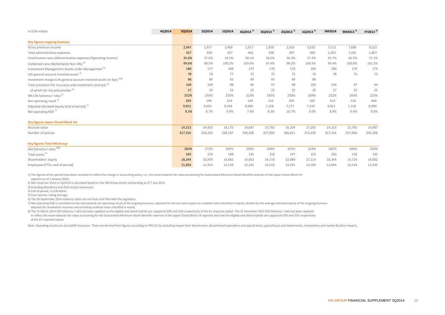| In EUR million                                                                  | 4Q2014 | 3Q2014  | 2Q2014  | 1Q2014  | 4Q2013 <sup>1)</sup> | $3Q2013$ <sup>1)</sup> | 2Q2013 <sup>1)</sup> | 1Q2013 <sup>1)</sup> | 9M2014  | 9M2013 <sup>1)</sup> | FY2013 <sup>1)</sup> |
|---------------------------------------------------------------------------------|--------|---------|---------|---------|----------------------|------------------------|----------------------|----------------------|---------|----------------------|----------------------|
| <b>Key figures ongoing business</b>                                             |        |         |         |         |                      |                        |                      |                      |         |                      |                      |
| Gross premium income                                                            |        | 2,047   | 1,977   | 3,489   | 1,917                | 1,959                  | 2,016                | 3,633                | 7,513   | 7,608                | 9,525                |
| Total administrative expenses                                                   |        | 427     | 439     | 437     | 462                  | 438                    | 447                  | 460                  | 1,303   | 1,345                | 1,807                |
| Cost/income ratio (Administrative expenses/Operating income)                    |        | 35.6%   | 37.0%   | 34.5%   | 38.1%                | 36.5%                  | 36.3%                | 37.3%                | 35.7%   | 36.7%                | 37.1%                |
| Combined ratio (Netherlands Non-life) <sup>3)</sup>                             |        | 99.6%   | 98.5%   | 100.2%  | 103.6%               | 97.4%                  | 98.2%                | 106.5%               | 99.4%   | 100.8%               | 101.5%               |
| Investment Management Assets under Management <sup>4)</sup>                     |        | 180     | 177     | 168     | 174                  | 176                    | 176                  | 184                  | 180     | 176                  | 174                  |
| Life general account invested assets <sup>4)</sup>                              |        | 78      | 78      | 77      | 75                   | 75                     | 75                   | 76                   | 78      | 75                   | 75                   |
| Investment margin/Life general account invested assets (in bps) <sup>4)5)</sup> |        | 90      | 89      | 92      | 89                   | 93                     | 89                   | 88                   |         |                      |                      |
| Total provisions for insurance and investment contracts <sup>4)</sup>           |        | 104     | 100     | 98      | 96                   | 97                     | 98                   | 100                  | 104     | 97                   | 96                   |
| of which for risk policyholder <sup>4)</sup>                                    |        | 27      | 24      | 24      | 25                   | 25                     | 25                   | 26                   | 27      | 25                   | 25                   |
| NN Life Solvency I ratio <sup>6)</sup>                                          |        | 252%    | 250%    | 235%    | 223%                 | 183%                   | 230%                 | 204%                 | 252%    | 183%                 | 223%                 |
| Net operating result $^{7}$                                                     |        | 203     | 196     | 216     | 149                  | 154                    | 203                  | 160                  | 615     | 516                  | 666                  |
| Adjusted allocated equity (end of period) <sup>7</sup>                          |        | 9,921   | 9,605   | 8,458   | 8,989                | 7,158                  | 7,577                | 7,542                | 9,921   | 7,158                | 8,989                |
| Net operating ROE <sup>7)</sup>                                                 |        | 8.3%    | 8.7%    | 9.9%    | 7.4%                 | 8.3%                   | 10.7%                | 9.0%                 | 8.9%    | 9.4%                 | 8.9%                 |
| <b>Key figures Japan Closed Block VA</b>                                        |        |         |         |         |                      |                        |                      |                      |         |                      |                      |
| Account value                                                                   |        | 14,313  | 14,425  | 14,175  | 14,687               | 15,792                 | 16,104               | 17,205               | 14,313  | 15,792               | 14,687               |
| Number of policies                                                              |        | 317,316 | 330,203 | 338,197 | 346,306              | 357,904                | 366,651              | 373,439              | 317,316 | 357,904              | 346,306              |
| <b>Key figures Total NN Group</b>                                               |        |         |         |         |                      |                        |                      |                      |         |                      |                      |
| IGD Solvency I ratio 6)8)                                                       |        | 283%    | 272%    | 245%    | 250%                 | 208%                   | 255%                 | 254%                 | 283%    | 208%                 | 250%                 |
| Total assets <sup>4)</sup>                                                      |        | 160     | 154     | 148     | 145                  | 150                    | 147                  | 153                  | 160     | 150                  | 145                  |
| Shareholders' equity                                                            |        | 18,344  | 16,939  | 14,682  | 14,062               | 14,719                 | 22,089               | 27,114               | 18,344  | 14,719               | 14,062               |
| Employees (FTEs, end of period)                                                 |        | 11,854  | 11,913  | 12,129  | 12,245               | 12,519                 | 12,291               | 12,509               | 11,854  | 12,519               | 12,245               |

1) The figures of this period have been restated to reflect the change in accounting policy, i.e., the move towards fair value accounting for Guaranteed Minimum Death Benefits reserves of the Japan Closed Block VA

segment as of 1 January 2014.

2) Net result per share in Q22014 is calculated based on the NN Group shares outstanding as of 7 July 2014.

3) Excluding Mandema and Zicht broker businesses.

4) End of period, in EUR billion.

5) Four-quarter rolling average.

6) The 30 September 2014 solvency ratios are not final until filed with the regulators.

7) Net operating ROE is calculated as the (annualised) net operating result of the ongoing business, adjusted for the accrued coupon on undated notes classified in equity, divided by the average allocated equity of the ong adjusted for revaluation reserves and excluding undated notes classified in equity.

 of the EU required capital. 8) The 31 March 2014 IGD Solvency I ratio has been updated as the eligible and dated hybrids are capped at 50% and 25% respectively of the EU required capital. The 31 December 2013 IGD Solvency I ratio has been updated to reflect the move towards fair value accounting for the Guaranteed Minimum Death Benefits reserves of the Japan Closed Block VA segment and that the eligible and dated hybrids are capped at 50% and 25% respectively

Note: Operating results are non-GAAP measures. These are derived from figures according to IFRS-EU by excluding impact from divestments, discontinued operations and special items, gains/losses and impairments, revaluations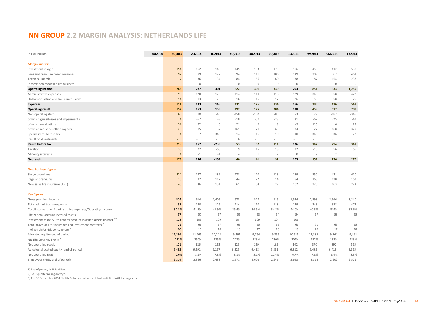#### **NN GROUP 2.2 MARGIN ANALYSIS: NETHERLANDS LIFE**

| In EUR million                                                        | 4Q2014 | 3Q2014 | 2Q2014      | 1Q2014      | 4Q2013         | 3Q2013       | 2Q2013         | 1Q2013      | 9M2014         | 9M2013         | FY2013 |
|-----------------------------------------------------------------------|--------|--------|-------------|-------------|----------------|--------------|----------------|-------------|----------------|----------------|--------|
| <b>Margin analysis</b>                                                |        |        |             |             |                |              |                |             |                |                |        |
| Investment margin                                                     |        | 154    | 162         | 140         | 145            | 133          | 173            | 106         | 455            | 412            | 557    |
| Fees and premium based revenues                                       |        | 92     | 89          | 127         | 94             | 111          | 106            | 149         | 309            | 367            | 461    |
| Technical margin                                                      |        | 17     | 36          | 34          | 84             | 56           | 60             | 38          | 87             | 154            | 237    |
| Income non-modelled life business                                     |        | $-0$   | $\mathbb O$ | $\circ$     | $-0$           | $\mathbb O$  | $-0$           | $\mathbb O$ | $-0$           | $\mathbf 0$    | $-0$   |
| <b>Operating income</b>                                               |        | 263    | 287         | 301         | 322            | 301          | 339            | 293         | 851            | 933            | 1,255  |
| Administrative expenses                                               |        | 98     | 120         | 126         | 114            | 110          | 118            | 129         | 343            | 358            | 472    |
| DAC amortisation and trail commissions                                |        | 14     | 13          | 23          | 16             | 16           | 17             | 26          | 50             | 58             | 75     |
| <b>Expenses</b>                                                       |        | 111    | 133         | 148         | 131            | 126          | 134            | 156         | 393            | 416            | 547    |
| <b>Operating result</b>                                               |        | 152    | 153         | 153         | 192            | 175          | 204            | 138         | 458            | 517            | 709    |
| Non-operating items                                                   |        | 63     | 10          | $-46$       | $-158$         | $-102$       | $-83$          | $-3$        | 27             | $-187$         | $-345$ |
| of which gains/losses and impairments                                 |        | 4      | $-57$       | -9          | $-18$          | $-37$        | $-29$          | 41          | $-62$          | $-25$          | $-43$  |
| of which revaluations                                                 |        | 34     | 82          | $\mathbb O$ | 21             | 6            | $\mathcal{G}$  | $-9$        | 116            | 6              | 27     |
| of which market & other impacts                                       |        | 25     | $-15$       | $-37$       | $-161$         | $-71$        | $-63$          | $-34$       | $-27$          | $-168$         | $-329$ |
| Special items before tax                                              |        | 4      | $-7$        | $-340$      | 14             | $-16$        | $-10$          | $-10$       | $-343$         | $-36$          | $-22$  |
| Result on divestments                                                 |        |        | ٠           | $\sim$      | 6              | $\sim$       | $\sim$         | $\sim$      | $\sim$         | $\sim$         | 6      |
| <b>Result before tax</b>                                              |        | 218    | 157         | $-233$      | 53             | 57           | 111            | 126         | 142            | 294            | 347    |
| Taxation                                                              |        | 36     | 22          | $-68$       | $\overline{9}$ | 15           | 18             | 22          | $-10$          | 56             | 65     |
| Minority interests                                                    |        | 4      | $-1$        | $-1$        | $\overline{4}$ | $\mathbf{1}$ | $\overline{2}$ | $\mathbb O$ | $\overline{2}$ | $\overline{2}$ | 6      |
| Net result                                                            |        | 179    | 136         | $-164$      | 40             | 41           | 92             | 103         | 151            | 236            | 276    |
|                                                                       |        |        |             |             |                |              |                |             |                |                |        |
| <b>New business figures</b>                                           |        |        |             |             |                |              |                |             |                |                |        |
| Single premiums                                                       |        | 224    | 137         | 189         | 178            | 120          | 123            | 189         | 550            | 431            | 610    |
| Regular premiums                                                      |        | 23     | 32          | 112         | 44             | 22           | 14             | 84          | 168            | 120            | 163    |
| New sales life insurance (APE)                                        |        | 46     | 46          | 131         | 61             | 34           | 27             | 102         | 223            | 163            | 224    |
| <b>Key figures</b>                                                    |        |        |             |             |                |              |                |             |                |                |        |
| Gross premium income                                                  |        | 574    | 614         | 1,405       | 573            | 527          | 615            | 1,524       | 2,593          | 2,666          | 3,240  |
| Total administrative expenses                                         |        | 98     | 120         | 126         | 114            | 110          | 118            | 129         | 343            | 358            | 472    |
| Cost/income ratio (Administrative expenses/Operating income)          |        | 37.3%  | 41.8%       | 41.9%       | 35.4%          | 36.5%        | 34.8%          | 44.0%       | 40.3%          | 38.4%          | 37.6%  |
| Life general account invested assets <sup>1)</sup>                    |        | 57     | 57          | 57          | 55             | 53           | 54             | 54          | 57             | 53             | 55     |
| Investment margin/Life general account invested assets (in bps) 12)   |        | 108    | 105         | 109         | 104            | 109          | 104            | 103         |                |                |        |
| Total provisions for insurance and investment contracts <sup>1)</sup> |        | 71     | 68          | 67          | 65             | 65           | 66             | 68          | 71             | 65             | 65     |
| of which for risk policyholder <sup>1)</sup>                          |        | 20     | 17          | 16          | 18             | 17           | 18             | 19          | 20             | 17             | 18     |
| Allocated equity (end of period)                                      |        | 12,386 | 11,265      | 10,243      | 9,491          | 9,764        | 9,865          | 10,615      | 12,386         | 9,764          | 9,491  |
| NN Life Solvency I ratio <sup>3)</sup>                                |        | 252%   | 250%        | 235%        | 223%           | 183%         | 230%           | 204%        | 252%           | 183%           | 223%   |
| Net operating result                                                  |        | 121    | 126         | 122         | 129            | 129          | 165            | 102         | 370            | 397            | 525    |
| Adjusted allocated equity (end of period)                             |        | 6,485  | 6,291       | 6,197       | 6,325          | 6,418        | 6,381          | 6,322       | 6,485          | 6,418          | 6,325  |
| Net operating ROE                                                     |        | 7.6%   | 8.1%        | 7.8%        | 8.1%           | 8.1%         | 10.4%          | 6.7%        | 7.8%           | 8.4%           | 8.3%   |
| Employees (FTEs, end of period)                                       |        | 2,314  | 2,366       | 2,433       | 2,571          | 2,602        | 2,646          | 2,693       | 2,314          | 2,602          | 2,571  |

1) End of period, in EUR billion.

2) Four-quarter rolling average.

3) The 30 September 2014 NN Life Solvency I ratio is not final until filed with the regulators.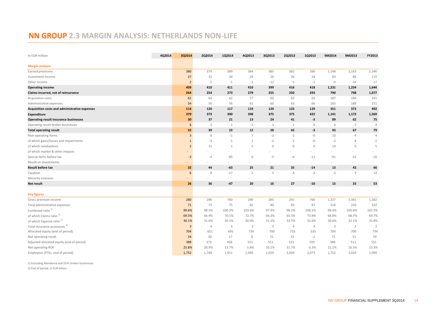# **NN GROUP 2.3 MARGIN ANALYSIS: NETHERLANDS NON-LIFE**

| In EUR million                                       | 4Q2014 | 3Q2014            | 2Q2014         | 1Q2014       | 4Q2013         | 3Q2013  | 2Q2013       | 1Q2013       | 9M2014         | 9M2013       | FY2013         |
|------------------------------------------------------|--------|-------------------|----------------|--------------|----------------|---------|--------------|--------------|----------------|--------------|----------------|
|                                                      |        |                   |                |              |                |         |              |              |                |              |                |
| <b>Margin analysis</b>                               |        |                   |                |              |                |         |              |              |                |              |                |
| Earned premiums                                      |        | 380               | 379            | 389          | 384            | 385     | 382          | 396          | 1,148          | 1,163        | 1,546          |
| Investment income                                    |        | 27                | 32             | 24           | 29             | 26      | 36           | 24           | 83             | 86           | 115            |
| Other income                                         |        | $\overline{2}$    | $-1$           | $-1$         | $-2$           | $-12$   | $-1$         | $-2$         | $-0$           | $-14$        | $-17$          |
| <b>Operating income</b>                              |        | 409               | 410            | 411          | 410            | 399     | 416          | 418          | 1,231          | 1,234        | 1,644          |
| Claims incurred, net of reinsurance                  |        | 264               | 254            | 273          | 279            | 255     | 250          | 293          | 790            | 798          | 1,077          |
| Acquisition costs                                    |        | 61                | 64             | 62           | 57             | 60      | 62           | 63           | 187            | 184          | 241            |
| Administrative expenses                              |        | 54                | 56             | 56           | 61             | 60      | 63           | 66           | 165            | 189          | 251            |
| <b>Acquisition costs and administrative expenses</b> |        | 114               | 120            | 117          | 119            | 120     | 125          | 129          | 351            | 373          | 492            |
| Expenditure                                          |        | 379               | 373            | 390          | 398            | 375     | 375          | 422          | 1,141          | 1,172        | 1,569          |
| <b>Operating result insurance businesses</b>         |        | 30                | 37             | 21           | 13             | 24      | 41           | -3           | 89             | 62           | 75             |
| Operating result broker businesses                   |        | $\mathbf{1}$      | $\overline{2}$ | $\mathbf{1}$ | $-1$           | 3       | $\mathbf{1}$ | $\circ$      | $\overline{4}$ | 5            | $\overline{4}$ |
| <b>Total operating result</b>                        |        | 32                | 39             | 22           | 12             | 28      | 42           | -3           | 93             | 67           | 79             |
| Non-operating items                                  |        | $\overline{3}$    | 8              | $-1$         | $\overline{7}$ | $-2$    | $-2$         | $-0$         | 10             | $-4$         | $\overline{4}$ |
| of which gains/losses and impairments                |        | $1\,$             | $-3$           | $-1$         | $\overline{2}$ | $-2$    | $-1$         | $-0$         | $-3$           | $-4$         | $-1$           |
| of which revaluations                                |        | $\overline{2}$    | 11             | 1            | 5              | $\circ$ | $-0$         | $\mathbf{0}$ | 14             | $\mathbf{0}$ | 5              |
| of which market & other impacts                      |        |                   |                |              |                | $\sim$  |              |              |                |              |                |
| Special items before tax                             |        | $-3$              | $-4$           | $-85$        | 6              | $-5$    | $-6$         | $-11$        | $-91$          | $-22$        | $-16$          |
| Result on divestments                                |        | $\qquad \qquad =$ |                |              |                |         |              |              |                |              |                |
| <b>Result before tax</b>                             |        | 32                | 44             | $-63$        | 25             | 21      | 35           | $-14$        | 13             | 42           | 66             |
| Taxation                                             |        | $\boldsymbol{6}$  | 8              | $-17$        | 5              | 5       | $\,$ 8 $\,$  | $-4$         | $-3$           | 9            | 14             |
| Minority interests                                   |        |                   |                |              |                |         |              |              |                |              |                |
| Net result                                           |        | 26                | 36             | $-47$        | 20             | 16      | 27           | $-10$        | 15             | 33           | 53             |
| <b>Key figures</b>                                   |        |                   |                |              |                |         |              |              |                |              |                |
| Gross premium income                                 |        | 280               | 286            | 760          | 240            | 285     | 291          | 766          | 1,327          | 1,341        | 1,582          |
| Total administrative expenses                        |        | 71                | 73             | 75           | 82             | 80      | 83           | 87           | 218            | 250          | 332            |
| Combined ratio <sup>1)</sup>                         |        | 99.6%             | 98.5%          | 100.2%       | 103.6%         | 97.4%   | 98.2%        | 106.5%       | 99.4%          | 100.8%       | 101.5%         |
| of which Claims ratio <sup>1)</sup>                  |        | 69.5%             | 66.9%          | 70.1%        | 72.7%          | 66.3%   | 65.5%        | 73.9%        | 68.8%          | 68.7%        | 69.7%          |
| of which Expense ratio <sup>1)</sup>                 |        | 30.1%             | 31.6%          | 30.1%        | 30.9%          | 31.1%   | 32.7%        | 32.6%        | 30.6%          | 32.1%        | 31.8%          |
| Total insurance provisions <sup>2)</sup>             |        | $\overline{3}$    | 4              | 4            | 3              | 3       | 4            | 4            | 3              | 3            | $\overline{3}$ |
| Allocated equity (end of period)                     |        | 704               | 651            | 695          | 734            | 700     | 716          | 535          | 704            | 700          | 734            |
| Net operating result                                 |        | 24                | 30             | 17           | 8              | 21      | 33           | $-2$         | 72             | 51           | 59             |
| Adjusted allocated equity (end of period)            |        | 388               | 373            | 458          | 551            | 511     | 531          | 295          | 388            | 511          | 551            |
| Net operating ROE                                    |        | 25.8%             | 28.9%          | 13.7%        | 5.8%           | 16.1%   | 31.7%        | $-3.3%$      | 22.1%          | 16.5%        | 13.3%          |
| Employees (FTEs, end of period)                      |        | 1,752             | 1,748          | 1,911        | 1,999          | 2,029   | 2,049        | 2,073        | 1,752          | 2,029        | 1,999          |

2) End of period, in EUR billion. 1) Excluding Mandema and Zicht broker businesses.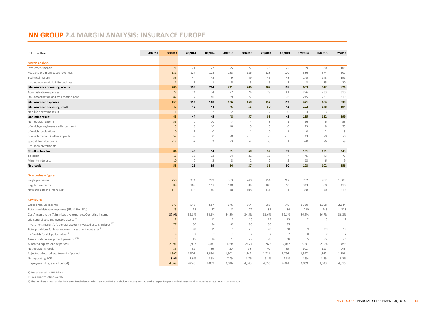#### **NN GROUP 2.4 MARGIN ANALYSIS: INSURANCE EUROPE**

| <b>Margin analysis</b><br>21<br>21<br>27<br>25<br>27<br>28<br>25<br>69<br>80<br>105<br>Investment margin<br>131<br>127<br>128<br>133<br>126<br>128<br>120<br>386<br>374<br>507<br>Fees and premium based revenues<br>53<br>44<br>48<br>49<br>49<br>46<br>48<br>145<br>143<br>191<br>Technical margin<br>5<br>Income non-modelled life business<br>5<br>3<br>15<br>$\mathbf{1}$<br>1<br>1<br>5<br>6<br>20<br>824<br>Life Insurance operating income<br>206<br>193<br>204<br>211<br>206<br>207<br>198<br>603<br>612<br>77<br>74<br>77<br>79<br>81<br>74<br>74<br>226<br>233<br>310<br>Administrative expenses<br>77<br>DAC amortisation and trail commissions<br>82<br>86<br>89<br>77<br>79<br>76<br>245<br>231<br>319<br>152<br>150<br>471<br>464<br>630<br>Life Insurance expenses<br>159<br>160<br>166<br>157<br>157<br>42<br>42<br>194<br>47<br>44<br>46<br>56<br>50<br>132<br>148<br>Life Insurance operating result<br>Non-life operating result<br>3<br>$\overline{2}$<br>$\overline{2}$<br>$\overline{2}$<br>$\circ$<br>3<br>$\overline{3}$<br>5<br>$-1$<br>1<br>44<br>48<br>53<br>42<br>135<br>152<br>199<br><b>Operating result</b><br>45<br>45<br>57<br>Non-operating items<br>56<br>$\circ$<br>10<br>47<br>$\overline{4}$<br>3<br>$-1$<br>66<br>6<br>53<br>$-0$<br>55<br>of which gains/losses and impairments<br>5<br>8<br>10<br>48<br>5<br>3<br>23<br>8<br>of which revaluations<br>$-0$<br>$-0$<br>$-0$<br>$\mathbb O$<br>$-3$<br>$-1$<br>$-1$<br>$-1$<br>$-2$<br>1<br>$-9$<br>$-0$<br>$-0$<br>$-0$<br>of which market & other impacts<br>52<br>$-0$<br>43<br>$-0$<br>$-2$<br>$-2$<br>$-2$<br>Special items before tax<br>$-17$<br>$-3$<br>$-3$<br>$-1$<br>$-20$<br>$-6$<br>-9<br>Result on divestments<br>$\sim$<br>$\sim$<br>91<br>60<br>39<br>181<br>151<br>243<br><b>Result before tax</b><br>84<br>43<br>54<br>52<br>16<br>12<br>34<br>21<br>15<br>$\overline{7}$<br>45<br>43<br>77<br>Taxation<br>16<br>$\overline{2}$<br>10<br>$\circ$<br>3<br>$\overline{2}$<br>$\overline{2}$<br>$\overline{2}$<br>9<br>Minority interests<br>13<br>6<br>58<br>54<br>35<br>30<br>102<br>156<br><b>Net result</b><br>26<br>39<br>37<br>123<br><b>New business figures</b><br>250<br>274<br>229<br>303<br>240<br>254<br>207<br>752<br>702<br>1,005<br>Single premiums<br>88<br>108<br>105<br>313<br>117<br>110<br>84<br>110<br>300<br>410<br>Regular premiums<br>New sales life insurance (APE)<br>113<br>135<br>140<br>140<br>108<br>131<br>131<br>388<br>370<br>510 | In EUR million | 4Q2014 | 3Q2014 | 2Q2014 | 1Q2014 | 4Q2013 | 3Q2013 | 2Q2013 | 1Q2013 | 9M2014 | 9M2013 | FY2013 |
|---------------------------------------------------------------------------------------------------------------------------------------------------------------------------------------------------------------------------------------------------------------------------------------------------------------------------------------------------------------------------------------------------------------------------------------------------------------------------------------------------------------------------------------------------------------------------------------------------------------------------------------------------------------------------------------------------------------------------------------------------------------------------------------------------------------------------------------------------------------------------------------------------------------------------------------------------------------------------------------------------------------------------------------------------------------------------------------------------------------------------------------------------------------------------------------------------------------------------------------------------------------------------------------------------------------------------------------------------------------------------------------------------------------------------------------------------------------------------------------------------------------------------------------------------------------------------------------------------------------------------------------------------------------------------------------------------------------------------------------------------------------------------------------------------------------------------------------------------------------------------------------------------------------------------------------------------------------------------------------------------------------------------------------------------------------------------------------------------------------------------------------------------------------------------------------------------------------------------------------------------------------------------------------------------------------------------------------------------------------------------------------------------------------------------------------------------------------------------|----------------|--------|--------|--------|--------|--------|--------|--------|--------|--------|--------|--------|
|                                                                                                                                                                                                                                                                                                                                                                                                                                                                                                                                                                                                                                                                                                                                                                                                                                                                                                                                                                                                                                                                                                                                                                                                                                                                                                                                                                                                                                                                                                                                                                                                                                                                                                                                                                                                                                                                                                                                                                                                                                                                                                                                                                                                                                                                                                                                                                                                                                                                           |                |        |        |        |        |        |        |        |        |        |        |        |
|                                                                                                                                                                                                                                                                                                                                                                                                                                                                                                                                                                                                                                                                                                                                                                                                                                                                                                                                                                                                                                                                                                                                                                                                                                                                                                                                                                                                                                                                                                                                                                                                                                                                                                                                                                                                                                                                                                                                                                                                                                                                                                                                                                                                                                                                                                                                                                                                                                                                           |                |        |        |        |        |        |        |        |        |        |        |        |
|                                                                                                                                                                                                                                                                                                                                                                                                                                                                                                                                                                                                                                                                                                                                                                                                                                                                                                                                                                                                                                                                                                                                                                                                                                                                                                                                                                                                                                                                                                                                                                                                                                                                                                                                                                                                                                                                                                                                                                                                                                                                                                                                                                                                                                                                                                                                                                                                                                                                           |                |        |        |        |        |        |        |        |        |        |        |        |
|                                                                                                                                                                                                                                                                                                                                                                                                                                                                                                                                                                                                                                                                                                                                                                                                                                                                                                                                                                                                                                                                                                                                                                                                                                                                                                                                                                                                                                                                                                                                                                                                                                                                                                                                                                                                                                                                                                                                                                                                                                                                                                                                                                                                                                                                                                                                                                                                                                                                           |                |        |        |        |        |        |        |        |        |        |        |        |
|                                                                                                                                                                                                                                                                                                                                                                                                                                                                                                                                                                                                                                                                                                                                                                                                                                                                                                                                                                                                                                                                                                                                                                                                                                                                                                                                                                                                                                                                                                                                                                                                                                                                                                                                                                                                                                                                                                                                                                                                                                                                                                                                                                                                                                                                                                                                                                                                                                                                           |                |        |        |        |        |        |        |        |        |        |        |        |
|                                                                                                                                                                                                                                                                                                                                                                                                                                                                                                                                                                                                                                                                                                                                                                                                                                                                                                                                                                                                                                                                                                                                                                                                                                                                                                                                                                                                                                                                                                                                                                                                                                                                                                                                                                                                                                                                                                                                                                                                                                                                                                                                                                                                                                                                                                                                                                                                                                                                           |                |        |        |        |        |        |        |        |        |        |        |        |
|                                                                                                                                                                                                                                                                                                                                                                                                                                                                                                                                                                                                                                                                                                                                                                                                                                                                                                                                                                                                                                                                                                                                                                                                                                                                                                                                                                                                                                                                                                                                                                                                                                                                                                                                                                                                                                                                                                                                                                                                                                                                                                                                                                                                                                                                                                                                                                                                                                                                           |                |        |        |        |        |        |        |        |        |        |        |        |
|                                                                                                                                                                                                                                                                                                                                                                                                                                                                                                                                                                                                                                                                                                                                                                                                                                                                                                                                                                                                                                                                                                                                                                                                                                                                                                                                                                                                                                                                                                                                                                                                                                                                                                                                                                                                                                                                                                                                                                                                                                                                                                                                                                                                                                                                                                                                                                                                                                                                           |                |        |        |        |        |        |        |        |        |        |        |        |
|                                                                                                                                                                                                                                                                                                                                                                                                                                                                                                                                                                                                                                                                                                                                                                                                                                                                                                                                                                                                                                                                                                                                                                                                                                                                                                                                                                                                                                                                                                                                                                                                                                                                                                                                                                                                                                                                                                                                                                                                                                                                                                                                                                                                                                                                                                                                                                                                                                                                           |                |        |        |        |        |        |        |        |        |        |        |        |
|                                                                                                                                                                                                                                                                                                                                                                                                                                                                                                                                                                                                                                                                                                                                                                                                                                                                                                                                                                                                                                                                                                                                                                                                                                                                                                                                                                                                                                                                                                                                                                                                                                                                                                                                                                                                                                                                                                                                                                                                                                                                                                                                                                                                                                                                                                                                                                                                                                                                           |                |        |        |        |        |        |        |        |        |        |        |        |
|                                                                                                                                                                                                                                                                                                                                                                                                                                                                                                                                                                                                                                                                                                                                                                                                                                                                                                                                                                                                                                                                                                                                                                                                                                                                                                                                                                                                                                                                                                                                                                                                                                                                                                                                                                                                                                                                                                                                                                                                                                                                                                                                                                                                                                                                                                                                                                                                                                                                           |                |        |        |        |        |        |        |        |        |        |        |        |
|                                                                                                                                                                                                                                                                                                                                                                                                                                                                                                                                                                                                                                                                                                                                                                                                                                                                                                                                                                                                                                                                                                                                                                                                                                                                                                                                                                                                                                                                                                                                                                                                                                                                                                                                                                                                                                                                                                                                                                                                                                                                                                                                                                                                                                                                                                                                                                                                                                                                           |                |        |        |        |        |        |        |        |        |        |        |        |
|                                                                                                                                                                                                                                                                                                                                                                                                                                                                                                                                                                                                                                                                                                                                                                                                                                                                                                                                                                                                                                                                                                                                                                                                                                                                                                                                                                                                                                                                                                                                                                                                                                                                                                                                                                                                                                                                                                                                                                                                                                                                                                                                                                                                                                                                                                                                                                                                                                                                           |                |        |        |        |        |        |        |        |        |        |        |        |
|                                                                                                                                                                                                                                                                                                                                                                                                                                                                                                                                                                                                                                                                                                                                                                                                                                                                                                                                                                                                                                                                                                                                                                                                                                                                                                                                                                                                                                                                                                                                                                                                                                                                                                                                                                                                                                                                                                                                                                                                                                                                                                                                                                                                                                                                                                                                                                                                                                                                           |                |        |        |        |        |        |        |        |        |        |        |        |
|                                                                                                                                                                                                                                                                                                                                                                                                                                                                                                                                                                                                                                                                                                                                                                                                                                                                                                                                                                                                                                                                                                                                                                                                                                                                                                                                                                                                                                                                                                                                                                                                                                                                                                                                                                                                                                                                                                                                                                                                                                                                                                                                                                                                                                                                                                                                                                                                                                                                           |                |        |        |        |        |        |        |        |        |        |        |        |
|                                                                                                                                                                                                                                                                                                                                                                                                                                                                                                                                                                                                                                                                                                                                                                                                                                                                                                                                                                                                                                                                                                                                                                                                                                                                                                                                                                                                                                                                                                                                                                                                                                                                                                                                                                                                                                                                                                                                                                                                                                                                                                                                                                                                                                                                                                                                                                                                                                                                           |                |        |        |        |        |        |        |        |        |        |        |        |
|                                                                                                                                                                                                                                                                                                                                                                                                                                                                                                                                                                                                                                                                                                                                                                                                                                                                                                                                                                                                                                                                                                                                                                                                                                                                                                                                                                                                                                                                                                                                                                                                                                                                                                                                                                                                                                                                                                                                                                                                                                                                                                                                                                                                                                                                                                                                                                                                                                                                           |                |        |        |        |        |        |        |        |        |        |        |        |
|                                                                                                                                                                                                                                                                                                                                                                                                                                                                                                                                                                                                                                                                                                                                                                                                                                                                                                                                                                                                                                                                                                                                                                                                                                                                                                                                                                                                                                                                                                                                                                                                                                                                                                                                                                                                                                                                                                                                                                                                                                                                                                                                                                                                                                                                                                                                                                                                                                                                           |                |        |        |        |        |        |        |        |        |        |        |        |
|                                                                                                                                                                                                                                                                                                                                                                                                                                                                                                                                                                                                                                                                                                                                                                                                                                                                                                                                                                                                                                                                                                                                                                                                                                                                                                                                                                                                                                                                                                                                                                                                                                                                                                                                                                                                                                                                                                                                                                                                                                                                                                                                                                                                                                                                                                                                                                                                                                                                           |                |        |        |        |        |        |        |        |        |        |        |        |
|                                                                                                                                                                                                                                                                                                                                                                                                                                                                                                                                                                                                                                                                                                                                                                                                                                                                                                                                                                                                                                                                                                                                                                                                                                                                                                                                                                                                                                                                                                                                                                                                                                                                                                                                                                                                                                                                                                                                                                                                                                                                                                                                                                                                                                                                                                                                                                                                                                                                           |                |        |        |        |        |        |        |        |        |        |        |        |
|                                                                                                                                                                                                                                                                                                                                                                                                                                                                                                                                                                                                                                                                                                                                                                                                                                                                                                                                                                                                                                                                                                                                                                                                                                                                                                                                                                                                                                                                                                                                                                                                                                                                                                                                                                                                                                                                                                                                                                                                                                                                                                                                                                                                                                                                                                                                                                                                                                                                           |                |        |        |        |        |        |        |        |        |        |        |        |
|                                                                                                                                                                                                                                                                                                                                                                                                                                                                                                                                                                                                                                                                                                                                                                                                                                                                                                                                                                                                                                                                                                                                                                                                                                                                                                                                                                                                                                                                                                                                                                                                                                                                                                                                                                                                                                                                                                                                                                                                                                                                                                                                                                                                                                                                                                                                                                                                                                                                           |                |        |        |        |        |        |        |        |        |        |        |        |
|                                                                                                                                                                                                                                                                                                                                                                                                                                                                                                                                                                                                                                                                                                                                                                                                                                                                                                                                                                                                                                                                                                                                                                                                                                                                                                                                                                                                                                                                                                                                                                                                                                                                                                                                                                                                                                                                                                                                                                                                                                                                                                                                                                                                                                                                                                                                                                                                                                                                           |                |        |        |        |        |        |        |        |        |        |        |        |
|                                                                                                                                                                                                                                                                                                                                                                                                                                                                                                                                                                                                                                                                                                                                                                                                                                                                                                                                                                                                                                                                                                                                                                                                                                                                                                                                                                                                                                                                                                                                                                                                                                                                                                                                                                                                                                                                                                                                                                                                                                                                                                                                                                                                                                                                                                                                                                                                                                                                           |                |        |        |        |        |        |        |        |        |        |        |        |
|                                                                                                                                                                                                                                                                                                                                                                                                                                                                                                                                                                                                                                                                                                                                                                                                                                                                                                                                                                                                                                                                                                                                                                                                                                                                                                                                                                                                                                                                                                                                                                                                                                                                                                                                                                                                                                                                                                                                                                                                                                                                                                                                                                                                                                                                                                                                                                                                                                                                           |                |        |        |        |        |        |        |        |        |        |        |        |
|                                                                                                                                                                                                                                                                                                                                                                                                                                                                                                                                                                                                                                                                                                                                                                                                                                                                                                                                                                                                                                                                                                                                                                                                                                                                                                                                                                                                                                                                                                                                                                                                                                                                                                                                                                                                                                                                                                                                                                                                                                                                                                                                                                                                                                                                                                                                                                                                                                                                           |                |        |        |        |        |        |        |        |        |        |        |        |
|                                                                                                                                                                                                                                                                                                                                                                                                                                                                                                                                                                                                                                                                                                                                                                                                                                                                                                                                                                                                                                                                                                                                                                                                                                                                                                                                                                                                                                                                                                                                                                                                                                                                                                                                                                                                                                                                                                                                                                                                                                                                                                                                                                                                                                                                                                                                                                                                                                                                           |                |        |        |        |        |        |        |        |        |        |        |        |
| <b>Key figures</b>                                                                                                                                                                                                                                                                                                                                                                                                                                                                                                                                                                                                                                                                                                                                                                                                                                                                                                                                                                                                                                                                                                                                                                                                                                                                                                                                                                                                                                                                                                                                                                                                                                                                                                                                                                                                                                                                                                                                                                                                                                                                                                                                                                                                                                                                                                                                                                                                                                                        |                |        |        |        |        |        |        |        |        |        |        |        |
| 2,344<br>577<br>546<br>587<br>646<br>564<br>585<br>549<br>1,710<br>1,698<br>Gross premium income                                                                                                                                                                                                                                                                                                                                                                                                                                                                                                                                                                                                                                                                                                                                                                                                                                                                                                                                                                                                                                                                                                                                                                                                                                                                                                                                                                                                                                                                                                                                                                                                                                                                                                                                                                                                                                                                                                                                                                                                                                                                                                                                                                                                                                                                                                                                                                          |                |        |        |        |        |        |        |        |        |        |        |        |
| Total administrative expenses (Life & Non-life)<br>85<br>78<br>77<br>80<br>77<br>82<br>84<br>240<br>323<br>243                                                                                                                                                                                                                                                                                                                                                                                                                                                                                                                                                                                                                                                                                                                                                                                                                                                                                                                                                                                                                                                                                                                                                                                                                                                                                                                                                                                                                                                                                                                                                                                                                                                                                                                                                                                                                                                                                                                                                                                                                                                                                                                                                                                                                                                                                                                                                            |                |        |        |        |        |        |        |        |        |        |        |        |
| Cost/income ratio (Administrative expenses/Operating income)<br>37.9%<br>36.8%<br>34.8%<br>34.8%<br>34.5%<br>36.6%<br>39.1%<br>36.5%<br>36.7%<br>36.3%                                                                                                                                                                                                                                                                                                                                                                                                                                                                                                                                                                                                                                                                                                                                                                                                                                                                                                                                                                                                                                                                                                                                                                                                                                                                                                                                                                                                                                                                                                                                                                                                                                                                                                                                                                                                                                                                                                                                                                                                                                                                                                                                                                                                                                                                                                                    |                |        |        |        |        |        |        |        |        |        |        |        |
| Life general account invested assets <sup>1)</sup><br>12<br>12<br>13<br>13<br>12<br>13<br>12<br>12<br>12<br>13                                                                                                                                                                                                                                                                                                                                                                                                                                                                                                                                                                                                                                                                                                                                                                                                                                                                                                                                                                                                                                                                                                                                                                                                                                                                                                                                                                                                                                                                                                                                                                                                                                                                                                                                                                                                                                                                                                                                                                                                                                                                                                                                                                                                                                                                                                                                                            |                |        |        |        |        |        |        |        |        |        |        |        |
| Investment margin/Life general account invested assets (in bps) 1/2)<br>77<br>80<br>84<br>80<br>85<br>86<br>86                                                                                                                                                                                                                                                                                                                                                                                                                                                                                                                                                                                                                                                                                                                                                                                                                                                                                                                                                                                                                                                                                                                                                                                                                                                                                                                                                                                                                                                                                                                                                                                                                                                                                                                                                                                                                                                                                                                                                                                                                                                                                                                                                                                                                                                                                                                                                            |                |        |        |        |        |        |        |        |        |        |        |        |
| 20<br>19<br>20<br>19<br>19<br>20<br>20<br>19<br>20<br>19<br>Total provisions for insurance and investment contracts <sup>1)</sup>                                                                                                                                                                                                                                                                                                                                                                                                                                                                                                                                                                                                                                                                                                                                                                                                                                                                                                                                                                                                                                                                                                                                                                                                                                                                                                                                                                                                                                                                                                                                                                                                                                                                                                                                                                                                                                                                                                                                                                                                                                                                                                                                                                                                                                                                                                                                         |                |        |        |        |        |        |        |        |        |        |        |        |
| of which for risk policyholder <sup>1)</sup><br>$\overline{7}$<br>$\overline{7}$<br>8<br>$\overline{7}$<br>$\overline{7}$<br>$\overline{7}$<br>$\overline{7}$<br>$\overline{7}$<br>8<br>$\overline{7}$                                                                                                                                                                                                                                                                                                                                                                                                                                                                                                                                                                                                                                                                                                                                                                                                                                                                                                                                                                                                                                                                                                                                                                                                                                                                                                                                                                                                                                                                                                                                                                                                                                                                                                                                                                                                                                                                                                                                                                                                                                                                                                                                                                                                                                                                    |                |        |        |        |        |        |        |        |        |        |        |        |
| Assets under management pensions <sup>133</sup><br>23<br>22<br>20<br>20<br>15<br>15<br>14<br>15<br>22<br>23                                                                                                                                                                                                                                                                                                                                                                                                                                                                                                                                                                                                                                                                                                                                                                                                                                                                                                                                                                                                                                                                                                                                                                                                                                                                                                                                                                                                                                                                                                                                                                                                                                                                                                                                                                                                                                                                                                                                                                                                                                                                                                                                                                                                                                                                                                                                                               |                |        |        |        |        |        |        |        |        |        |        |        |
| 1,997<br>2,031<br>1,898<br>2,024<br>1,972<br>2,077<br>2,091<br>2,024<br>1,898<br>Allocated equity (end of period)<br>2,091                                                                                                                                                                                                                                                                                                                                                                                                                                                                                                                                                                                                                                                                                                                                                                                                                                                                                                                                                                                                                                                                                                                                                                                                                                                                                                                                                                                                                                                                                                                                                                                                                                                                                                                                                                                                                                                                                                                                                                                                                                                                                                                                                                                                                                                                                                                                                |                |        |        |        |        |        |        |        |        |        |        |        |
| 35<br>31<br>36<br>30<br>38<br>40<br>35<br>102<br>112<br>143<br>Net operating result                                                                                                                                                                                                                                                                                                                                                                                                                                                                                                                                                                                                                                                                                                                                                                                                                                                                                                                                                                                                                                                                                                                                                                                                                                                                                                                                                                                                                                                                                                                                                                                                                                                                                                                                                                                                                                                                                                                                                                                                                                                                                                                                                                                                                                                                                                                                                                                       |                |        |        |        |        |        |        |        |        |        |        |        |
| Adjusted allocated equity (end of period)<br>1,597<br>1,526<br>1,654<br>1,601<br>1,742<br>1,711<br>1,796<br>1,597<br>1,742<br>1,601                                                                                                                                                                                                                                                                                                                                                                                                                                                                                                                                                                                                                                                                                                                                                                                                                                                                                                                                                                                                                                                                                                                                                                                                                                                                                                                                                                                                                                                                                                                                                                                                                                                                                                                                                                                                                                                                                                                                                                                                                                                                                                                                                                                                                                                                                                                                       |                |        |        |        |        |        |        |        |        |        |        |        |
| 8.2%<br>Net operating ROE<br>8.9%<br>7.9%<br>8.9%<br>8.7%<br>9.1%<br>7.8%<br>8.5%<br>8.5%<br>7.2%                                                                                                                                                                                                                                                                                                                                                                                                                                                                                                                                                                                                                                                                                                                                                                                                                                                                                                                                                                                                                                                                                                                                                                                                                                                                                                                                                                                                                                                                                                                                                                                                                                                                                                                                                                                                                                                                                                                                                                                                                                                                                                                                                                                                                                                                                                                                                                         |                |        |        |        |        |        |        |        |        |        |        |        |
| Employees (FTEs, end of period)<br>4,069<br>4,046<br>4,039<br>4,043<br>4,084<br>4,069<br>4,016<br>4,016<br>4,056<br>4,043                                                                                                                                                                                                                                                                                                                                                                                                                                                                                                                                                                                                                                                                                                                                                                                                                                                                                                                                                                                                                                                                                                                                                                                                                                                                                                                                                                                                                                                                                                                                                                                                                                                                                                                                                                                                                                                                                                                                                                                                                                                                                                                                                                                                                                                                                                                                                 |                |        |        |        |        |        |        |        |        |        |        |        |

1) End of period, in EUR billion.

2) Four-quarter rolling average.

3) The numbers shown under AuM are client balances which exclude IFRS shareholder's equity related to the respective pension businesses and include the assets under administration.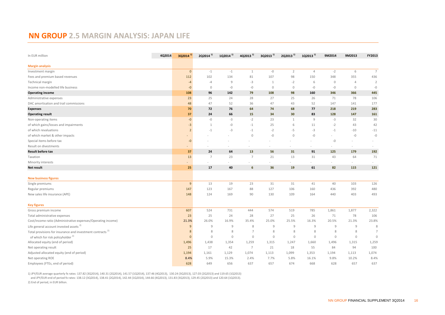# **NN GROUP 2.5 MARGIN ANALYSIS: JAPAN LIFE**

| In EUR million                                                        | 4Q2014 | $3Q2014^{1}$             | 2Q2014 <sup>1)</sup> | 1Q2014 <sup>1)</sup> | 4Q2013 <sup>1)</sup> | $3Q2013$ <sup>1)</sup> | 2Q2013 <sup>1)</sup> | 1Q2013 <sup>1)</sup> | 9M2014       | 9M2013         | FY2013          |
|-----------------------------------------------------------------------|--------|--------------------------|----------------------|----------------------|----------------------|------------------------|----------------------|----------------------|--------------|----------------|-----------------|
|                                                                       |        |                          |                      |                      |                      |                        |                      |                      |              |                |                 |
| <b>Margin analysis</b>                                                |        |                          |                      |                      |                      |                        |                      |                      |              |                |                 |
| Investment margin                                                     |        | $\mathbf 0$              | $-1$                 | $-1$                 | $\mathbf{1}$         | $-0$                   | $\overline{2}$       | $\overline{4}$       | $-2$         | 6              | $7\overline{ }$ |
| Fees and premium based revenues                                       |        | 112                      | 102                  | 134                  | 81                   | 107                    | 98                   | 150                  | 348          | 355            | 436             |
| Technical margin                                                      |        | $-4$                     | $-4$                 | 9                    | $-3$                 | $\mathbf{1}$           | $-2$                 | 6                    | $\mathbb O$  | $\overline{4}$ | $\overline{2}$  |
| Income non-modelled life business                                     |        | $-0$                     | $\mathbf{0}$         | $-0$                 | $-0$                 | $\mathbb O$            | $\mathbb O$          | $-0$                 | $-0$         | $\circ$        | $-0$            |
| <b>Operating income</b>                                               |        | 108                      | 96                   | 142                  | 79                   | 108                    | 98                   | 160                  | 346          | 366            | 445             |
| Administrative expenses                                               |        | 23                       | 25                   | 24                   | 28                   | 27                     | 25                   | 26                   | 71           | 78             | 106             |
| DAC amortisation and trail commissions                                |        | 48                       | 47                   | 52                   | 36                   | 47                     | 43                   | 52                   | 147          | 141            | 177             |
| <b>Expenses</b>                                                       |        | 70                       | 72                   | 76                   | 64                   | 74                     | 68                   | 77                   | 218          | 219            | 283             |
| <b>Operating result</b>                                               |        | 37                       | 24                   | 66                   | 15                   | 34                     | 30                   | 83                   | 128          | 147            | 161             |
| Non-operating items                                                   |        | $-0$                     | $-0$                 | $-3$                 | $-2$                 | 23                     | $\mathbf{1}$         | $\mathcal{G}$        | $-3$         | 32             | 30              |
| of which gains/losses and impairments                                 |        | $-3$                     | $\mathbf{1}$         | $-{\mathbb O}$       | $-1$                 | 25                     | 6                    | 11                   | $-2$         | 43             | 42              |
| of which revaluations                                                 |        | $\overline{2}$           | $-1$                 | $-3$                 | $-1$                 | $-2$                   | -5                   | $-3$                 | $-1$         | $-10$          | $-11$           |
| of which market & other impacts                                       |        | $\overline{\phantom{a}}$ |                      |                      | $\mathbf{0}$         | $-0$                   | $\mathbb O$          | $-0$                 |              | $-{\mathbb O}$ | $-0$            |
| Special items before tax                                              |        | $-0$                     |                      |                      |                      |                        |                      |                      | $-0$         | $\sim$         |                 |
| Result on divestments                                                 |        |                          |                      |                      |                      |                        |                      |                      |              |                |                 |
| <b>Result before tax</b>                                              |        | 37                       | 24                   | 64                   | 13                   | 56                     | 31                   | 91                   | 125          | 179            | 192             |
| Taxation                                                              |        | 13                       | $\overline{7}$       | 23                   | $\overline{7}$       | 21                     | 13                   | 31                   | 43           | 64             | 71              |
| Minority interests                                                    |        | $\overline{\phantom{a}}$ |                      |                      |                      |                        |                      |                      |              | $\sim$         |                 |
| Net result                                                            |        | 25                       | 17                   | 40                   | $6\phantom{1}6$      | 36                     | 19                   | 61                   | 82           | 115            | 121             |
|                                                                       |        |                          |                      |                      |                      |                        |                      |                      |              |                |                 |
| <b>New business figures</b>                                           |        |                          |                      |                      |                      |                        |                      |                      |              |                |                 |
| Single premiums                                                       |        | 9                        | 13                   | 19                   | 23                   | 31                     | 31                   | 41                   | 40           | 103            | 126             |
| Regular premiums                                                      |        | 147                      | 123                  | 167                  | 88                   | 127                    | 106                  | 160                  | 436          | 392            | 480             |
| New sales life insurance (APE)                                        |        | 148                      | 124                  | 169                  | 90                   | 130                    | 109                  | 164                  | 440          | 403            | 493             |
|                                                                       |        |                          |                      |                      |                      |                        |                      |                      |              |                |                 |
| <b>Key figures</b>                                                    |        |                          |                      |                      |                      |                        |                      |                      |              |                |                 |
| Gross premium income                                                  |        | 607                      | 524                  | 731                  | 444                  | 574                    | 519                  | 785                  | 1,861        | 1,877          | 2,322           |
| Total administrative expenses                                         |        | 23                       | 25                   | 24                   | 28                   | 27                     | 25                   | 26                   | 71           | 78             | 106             |
| Cost/income ratio (Administrative expenses/Operating income)          |        | 21.3%                    | 26.0%                | 16.9%                | 35.4%                | 25.0%                  | 25.5%                | 16.3%                | 20.5%        | 21.3%          | 23.8%           |
| Life general account invested assets <sup>2)</sup>                    |        | 9                        | $\overline{9}$       | 9                    | 8                    | $\overline{9}$         | 9                    | $\overline{9}$       | 9            | 9              | 8               |
| Total provisions for insurance and investment contracts <sup>2)</sup> |        | 8                        | 8                    | 8                    | $\overline{7}$       | 8                      | 8                    | 8                    | 8            | 8              | $\overline{7}$  |
| of which for risk policyholder <sup>2)</sup>                          |        | $\mathbf{0}$             | $\mathbf 0$          | $\mathbf{0}$         | $\mathbf{0}$         | $\mathbf{0}$           | $\overline{0}$       | $\mathbf{0}$         | $\mathbf{0}$ | $\mathbf 0$    | $\circ$         |
| Allocated equity (end of period)                                      |        | 1,496                    | 1,438                | 1,354                | 1,259                | 1,315                  | 1,247                | 1,660                | 1,496        | 1,315          | 1,259           |
| Net operating result                                                  |        | 25                       | 17                   | 42                   | $\overline{7}$       | 21                     | 18                   | 55                   | 84           | 94             | 100             |
| Adjusted allocated equity (end of period)                             |        | 1,194                    | 1,161                | 1,129                | 1,074                | 1,113                  | 1,099                | 1,353                | 1,194        | 1,113          | 1,074           |
| Net operating ROE                                                     |        | 8.4%                     | 5.9%                 | 15.3%                | 2.4%                 | 7.7%                   | 5.8%                 | 16.1%                | 9.8%         | 10.2%          | 8.4%            |
| Employees (FTEs, end of period)                                       |        | 628                      | 649                  | 656                  | 637                  | 657                    | 674                  | 668                  | 628          | 657            | 637             |

1) JPY/EUR average quarterly fx rates: 137.82 (3Q2014), 140.31 (2Q2014), 141.57 (1Q2014), 137.46 (4Q2013), 130.24 (3Q2013), 127.03 (2Q2013) and 119.65 (1Q2013) and JPY/EUR end of period fx rates: 138.12 (3Q2014), 138.41 (2Q2014), 142.44 (1Q2014), 144.66 (4Q2013), 131.83 (3Q2013), 129.45 (2Q2013) and 120.64 (1Q2013).

2) End of period, in EUR billion.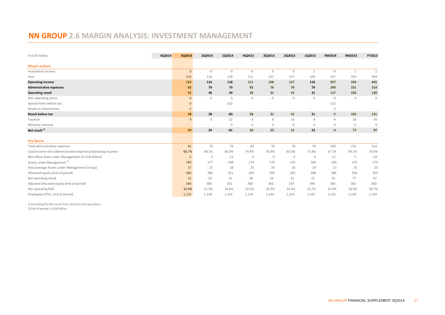# **NN GROUP 2.6 MARGIN ANALYSIS: INVESTMENT MANAGEMENT**

| In EUR million                                               | 4Q2014 | 3Q2014       | 2Q2014         | 1Q2014       | 4Q2013       | 3Q2013      | 2Q2013      | 1Q2013       | 9M2014       | 9M2013       | FY2013       |
|--------------------------------------------------------------|--------|--------------|----------------|--------------|--------------|-------------|-------------|--------------|--------------|--------------|--------------|
| <b>Margin analysis</b>                                       |        |              |                |              |              |             |             |              |              |              |              |
| Investment income                                            |        | $\mathbf{0}$ | $-0$           | $-0$         | $-0$         | $\mathbb O$ | $\mathbb O$ | 1            | $-0$         | 1            | $\mathbf{1}$ |
| Fees                                                         |        | 123          | 116            | 118          | 111          | 107         | 117         | 109          | 357          | 333          | 444          |
| <b>Operating income</b>                                      |        | 123          | 116            | 118          | 111          | 108         | 117         | 110          | 357          | 334          | 445          |
| <b>Administrative expenses</b>                               |        | 82           | 79             | 79           | 83           | 76          | 76          | 79           | 240          | 231          | 314          |
| <b>Operating result</b>                                      |        | 41           | 38             | 39           | 28           | 31          | 41          | 31           | 117          | 103          | 130          |
| Non-operating items                                          |        | $\mathbf{0}$ | $\mathbf{0}$   | $\mathbf{0}$ | $\mathbb O$  | $-0$        | $\mathbb O$ | $\mathbf{0}$ | $\mathbf{0}$ | $\mathbf{0}$ | $\mathbb O$  |
| Special items before tax                                     |        | $-0$         |                | $-122$       |              |             |             |              | $-122$       |              |              |
| Result on divestments                                        |        | $-2$         |                | ۰            |              |             |             |              | $-2$         | $\sim$       |              |
| <b>Result before tax</b>                                     |        | 38           | 38             | $-83$        | 28           | 31          | 41          | 31           | $-7$         | 103          | 131          |
| Taxation                                                     |        | 9            | 9              | $-22$        | 8            | 8           | 10          | 8            | $-4$         | 26           | 34           |
| Minority interests                                           |        | ٠            |                | $\mathbf{0}$ | $\mathbf{0}$ | $\mathbb O$ | $-0$        | $\mathbf{0}$ | $\mathbf{0}$ | $\mathbf{0}$ | $\mathbf 0$  |
| Net result <sup>1)</sup>                                     |        | 29           | 29             | $-61$        | 20           | 23          | 31          | 22           | $-3$         | 77           | 97           |
| <b>Key figures</b>                                           |        |              |                |              |              |             |             |              |              |              |              |
| Total administrative expenses                                |        | 82           | 79             | 79           | 83           | 76          | 76          | 79           | 240          | 231          | 314          |
| Cost/income ratio (Administrative expenses/Operating income) |        | 66.7%        | 68.1%          | 66.9%        | 74.8%        | 70.4%       | 65.0%       | 71.8%        | 67.2%        | 69.2%        | 70.6%        |
| Net inflow Asets under Management (in EUR billion)           |        | $-2$         | $\overline{4}$ | $-12$        | $-3$         | $\mathbf 0$ | $-4$        | $-3$         | $-11$        | $-7$         | $-10$        |
| Assets under Management <sup>2)</sup>                        |        | 180          | 177            | 168          | 174          | 176         | 176         | 184          | 180          | 176          | 174          |
| Fees/average Assets under Management (in bps)                |        | 27           | 27             | 28           | 25           | 24          | 26          | 24           | 27           | 25           | 25           |
| Allocated equity (end of period)                             |        | 386          | 380            | 351          | 359          | 358         | 335         | 388          | 386          | 358          | 359          |
| Net operating result                                         |        | 31           | 29             | 31           | 20           | 23          | 31          | 22           | 91           | 77           | 97           |
| Adjusted allocated equity (end of period)                    |        | 386          | 380            | 352          | 360          | 362         | 337         | 390          | 386          | 362          | 360          |
| Net operating ROE                                            |        | 32.9%        | 31.4%          | 34.6%        | 22.2%        | 26.3%       | 34.3%       | 23.7%        | 32.9%        | 28.0%        | 26.7%        |
| Employees (FTEs, end of period)                              |        | 1,135        | 1,139          | 1,145        | 1,134        | 1,144       | 1,154       | 1,187        | 1,135        | 1,144        | 1,134        |

1) Excluding the Net result from discontinued operations.

2) End of period, in EUR billion.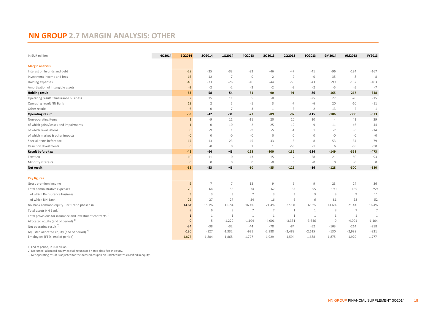# **NN GROUP 2.7 MARGIN ANALYSIS: OTHER**

| In EUR million                                                        | 4Q2014 | 3Q2014         | 2Q2014         | 1Q2014         | 4Q2013         | 3Q2013         | 2Q2013      | 1Q2013         | 9M2014         | 9M2013         | FY2013         |
|-----------------------------------------------------------------------|--------|----------------|----------------|----------------|----------------|----------------|-------------|----------------|----------------|----------------|----------------|
| <b>Margin analysis</b>                                                |        |                |                |                |                |                |             |                |                |                |                |
| Interest on hybrids and debt                                          |        | $-28$          | $-35$          | $-33$          | $-33$          | $-46$          | $-47$       | $-41$          | $-96$          | $-134$         | $-167$         |
| Investment income and fees                                            |        | 16             | 12             | $\overline{7}$ | $\overline{0}$ | 2              | 7           | $-0$           | 35             | 8              | 8              |
| Holding expenses                                                      |        | $-40$          | $-33$          | $-26$          | $-46$          | $-44$          | $-50$       | $-43$          | -99            | $-137$         | $-183$         |
| Amortisation of intangible assets                                     |        | $-2$           | $-2$           | $-2$           | $-2$           | $-2$           | $-2$        | $-2$           | $-5$           | $-5$           | $-7$           |
| <b>Holding result</b>                                                 |        | $-53$          | $-58$          | $-54$          | $-81$          | $-90$          | $-91$       | -86            | $-165$         | $-267$         | $-348$         |
| Operating result Reinsurance business                                 |        | $\overline{2}$ | 15             | 11             | 5              | -0             | 5           | $-25$          | 27             | $-20$          | $-15$          |
| Operating result NN Bank                                              |        | 13             | $\overline{2}$ | 5              | $-1$           | 3              | $-7$        | $-6$           | 20             | $-10$          | $-11$          |
| Other results                                                         |        | 6              | $-0$           | $\overline{7}$ | $\overline{3}$ | $-1$           | $-3$        | 2              | 13             | $-2$           | $\overline{1}$ |
| <b>Operating result</b>                                               |        | $-33$          | $-42$          | $-31$          | $-73$          | $-89$          | $-97$       | $-115$         | $-106$         | $-300$         | $-373$         |
| Non-operating items                                                   |        | $\mathbf{1}$   | -9             | 11             | $-11$          | 20             | 10          | 10             | $\overline{4}$ | 41             | 29             |
| of which gains/losses and impairments                                 |        | $\mathbf{1}$   | -0             | 10             | $-2$           | 25             | 12          | 9              | 11             | 46             | 44             |
| of which revaluations                                                 |        | $\mathbf{0}$   | -9             | $\mathbf{1}$   | -9             | $-5$           | $-1$        |                | $-7$           | $-5$           | $-14$          |
| of which market & other impacts                                       |        | -0             | $\mathbf{0}$   | $-0$           | $-0$           | $\mathbb O$    | -0          | $\mathbb O$    | $-0$           | $-{\mathbb O}$ | $-0$           |
| Special items before tax                                              |        | $-17$          | $-13$          | $-23$          | $-45$          | $-33$          | 8           | $-8$           | $-53$          | $-34$          | $-79$          |
| Result on divestments                                                 |        | 6              | $-0$           | $\mathbf 0$    | $\overline{7}$ | $\mathbf{1}$   | $-58$       | $-1$           | 6              | $-58$          | $-50$          |
| <b>Result before tax</b>                                              |        | $-42$          | $-64$          | $-43$          | $-123$         | $-100$         | $-136$      | $-114$         | $-149$         | $-351$         | $-473$         |
| Taxation                                                              |        | $-10$          | $-11$          | $-0$           | $-43$          | $-15$          | $-7$        | $-28$          | $-21$          | $-50$          | $-93$          |
| Minority interests                                                    |        | $\mathbf{0}$   | $\mathbf{0}$   | $\mathbf{0}$   | $\mathbb O$    | $-0$           | $\mathbb O$ | $-0$           | $\mathbb O$    | $-0$           | $\mathbb O$    |
| Net result                                                            |        | $-32$          | $-53$          | $-43$          | $-80$          | $-85$          | $-129$      | $-86$          | $-128$         | $-300$         | $-380$         |
| <b>Key figures</b>                                                    |        |                |                |                |                |                |             |                |                |                |                |
| Gross premium income                                                  |        | 9              | $\overline{7}$ | $\overline{7}$ | 12             | 9              | 6           | $\overline{9}$ | 23             | 24             | 36             |
| Total administrative expenses                                         |        | 70             | 64             | 56             | 74             | 67             | 63          | 55             | 190            | 185            | 259            |
| of which Reinsurance business                                         |        | $\overline{3}$ | 3              | 3              | $\overline{2}$ | 3              | 3           | 3              | $\overline{9}$ | $\overline{9}$ | 11             |
| of which NN Bank                                                      |        | 26             | 27             | 27             | 24             | 16             | 6           | 6              | 81             | 28             | 52             |
| NN Bank common equity Tier 1 ratio phased in                          |        | 14.6%          | 15.7%          | 16.7%          | 16.4%          | 21.4%          | 37.1%       | 32.6%          | 14.6%          | 21.4%          | 16.4%          |
| Total assets NN Bank <sup>1)</sup>                                    |        | 8              | 9              | 8              | $\overline{7}$ | $\overline{7}$ | 1           | 1              | 8              | $\overline{7}$ | $\overline{7}$ |
| Total provisions for insurance and investment contracts <sup>1)</sup> |        | $\mathbf{1}$   | 1              | $\mathbf{1}$   | $\mathbf{1}$   | $\mathbf{1}$   | 1           | 1              | $\mathbf{1}$   | $\mathbf{1}$   | $\overline{1}$ |
| Allocated equity (end of period) <sup>2)</sup>                        |        | $\mathbf{0}$   | 5              | $-1,220$       | $-1,104$       | $-4,001$       | $-3,331$    | $-3,646$       | $\mathbf 0$    | $-4,001$       | $-1,104$       |
| Net operating result <sup>3)</sup>                                    |        | $-34$          | $-38$          | $-32$          | $-44$          | $-78$          | $-84$       | $-52$          | $-103$         | $-214$         | $-258$         |
| Adjusted allocated equity (end of period) <sup>2)</sup>               |        | $-130$         | $-127$         | $-1,332$       | $-921$         | $-2,988$       | $-2,483$    | $-2,615$       | $-130$         | $-2,988$       | $-921$         |
| Employees (FTEs, end of period)                                       |        | 1,875          | 1,884          | 1,868          | 1,777          | 1,929          | 1,594       | 1,688          | 1,875          | 1,929          | 1,777          |

1) End of period, in EUR billion.

2) (Adjusted) allocated equity excluding undated notes classified in equity.

3) Net operating result is adjusted for the accrued coupon on undated notes classified in equity.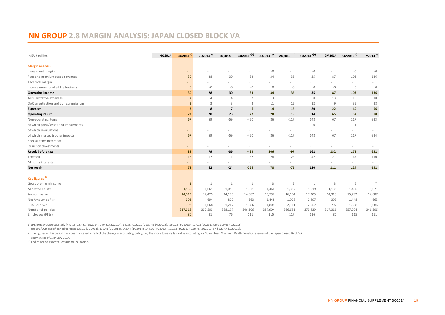#### **NN GROUP 2.8 MARGIN ANALYSIS: JAPAN CLOSED BLOCK VA**

| In EUR million                         | 4Q2014 | 3Q2014 <sup>1)</sup> | 2Q2014 <sup>1)</sup> | 1Q2014 <sup>1)</sup> | 4Q2013 <sup>1)2)</sup> | 3Q2013 <sup>1)2)</sup> | 2Q2013 <sup>1)2)</sup>   | 1Q2013 <sup>1)2)</sup> | 9M2014         | 9M2013 <sup>2)</sup> | FY2013 <sup>2)</sup>     |
|----------------------------------------|--------|----------------------|----------------------|----------------------|------------------------|------------------------|--------------------------|------------------------|----------------|----------------------|--------------------------|
| <b>Margin analysis</b>                 |        |                      |                      |                      |                        |                        |                          |                        |                |                      |                          |
| Investment margin                      |        | $\sim$               | $\sim$               | ٠                    | $\sim$                 | $-0$                   | $\overline{\phantom{a}}$ | $-0$                   | $\sim$         | $-0$                 | $-0$                     |
| Fees and premium based revenues        |        | 30                   | 28                   | 30                   | 33                     | 34                     | 35                       | 35                     | 87             | 103                  | 136                      |
| Technical margin                       |        |                      |                      |                      |                        |                        |                          |                        |                | $\sim$               |                          |
| Income non-modelled life business      |        | $\mathbf{0}$         | $-0$                 | $-0$                 | $-0$                   | $\mathbb O$            | $-0$                     | $\mathbf{0}$           | $-0$           | $\mathbb O$          | $\mathbb O$              |
| <b>Operating income</b>                |        | 30                   | 28                   | 30                   | 33                     | 34                     | 35                       | 35                     | 87             | 103                  | 136                      |
| Administrative expenses                |        | $\overline{4}$       | $\varDelta$          | $\overline{4}$       | $\overline{2}$         | 3                      | 3                        | 8                      | 13             | 15                   | 18                       |
| DAC amortisation and trail commissions |        | $\overline{3}$       | 3                    | 3                    | 3                      | 11                     | 12                       | 12                     | $\overline{9}$ | 35                   | 38                       |
| <b>Expenses</b>                        |        | $\overline{7}$       | 8                    | $\overline{7}$       | 6                      | 14                     | 15                       | 20                     | 22             | 49                   | 56                       |
| <b>Operating result</b>                |        | 22                   | 20                   | 23                   | 27                     | 20                     | 19                       | 14                     | 65             | 54                   | 80                       |
| Non-operating items                    |        | 67                   | 59                   | $-59$                | $-450$                 | 86                     | $-117$                   | 148                    | 67             | 117                  | $-333$                   |
| of which gains/losses and impairments  |        | ٠                    |                      |                      |                        | 1                      |                          | $\mathbf{0}$           |                | 1                    | 1                        |
| of which revaluations                  |        | $\equiv$             |                      |                      |                        |                        |                          |                        |                | $\sim$               | $\overline{\phantom{a}}$ |
| of which market & other impacts        |        | 67                   | 59                   | $-59$                | $-450$                 | 86                     | $-117$                   | 148                    | 67             | 117                  | $-334$                   |
| Special items before tax               |        |                      |                      |                      |                        |                        |                          |                        |                |                      |                          |
| Result on divestments                  |        | $\equiv$             |                      |                      | $\sim$                 |                        |                          | $\sim$                 |                | $\sim$               |                          |
| <b>Result before tax</b>               |        | 89                   | 79                   | $-36$                | $-423$                 | 106                    | $-97$                    | 162                    | 132            | 171                  | $-252$                   |
| Taxation                               |        | 16                   | 17                   | $-11$                | $-157$                 | 28                     | $-23$                    | 42                     | 21             | 47                   | $-110$                   |
| Minority interests                     |        | $\equiv$             |                      |                      |                        |                        | $\overline{\phantom{a}}$ |                        |                | $\sim$               |                          |
| Net result                             |        | 73                   | 62                   | $-24$                | $-266$                 | 78                     | $-75$                    | 120                    | 111            | 124                  | $-142$                   |
| Key figures <sup>3)</sup>              |        |                      |                      |                      |                        |                        |                          |                        |                |                      |                          |
| Gross premium income                   |        | $\mathbf{1}$         | $\mathbf{1}$         | $\mathbf{1}$         | 1                      | $\overline{3}$         | $\overline{2}$           | $\mathbf{1}$           | 3              | 6                    | $\overline{7}$           |
| Allocated equity                       |        | 1,135                | 1,061                | 1,058                | 1,071                  | 1,466                  | 1,387                    | 1,619                  | 1,135          | 1,466                | 1,071                    |
| Account value                          |        | 14,313               | 14,425               | 14,175               | 14,687                 | 15,792                 | 16,104                   | 17,205                 | 14,313         | 15,792               | 14,687                   |
| Net Amount at Risk                     |        | 393                  | 694                  | 870                  | 663                    | 1,448                  | 1,908                    | 2,497                  | 393            | 1,448                | 663                      |
| <b>IFRS Reserves</b>                   |        | 792                  | 1,068                | 1,267                | 1,086                  | 1,808                  | 2,161                    | 2,667                  | 792            | 1,808                | 1,086                    |
| Number of policies                     |        | 317,316              | 330,203              | 338,197              | 346,306                | 357,904                | 366,651                  | 373,439                | 317,316        | 357,904              | 346,306                  |
| Employees (FTEs)                       |        | 80                   | 81                   | 76                   | 111                    | 115                    | 117                      | 116                    | 80             | 115                  | 111                      |

1) JPY/EUR average quarterly fx rates: 137.82 (3Q2014), 140.31 (2Q2014), 141.57 (1Q2014), 137.46 (4Q2013), 130.24 (3Q2013), 127.03 (2Q2013) and 119.65 (1Q2013)

and JPY/EUR end of period fx rates: 138.12 (3Q2014), 138.41 (2Q2014), 142.44 (1Q2014), 144.66 (4Q2013), 131.83 (3Q2013), 129.45 (2Q2013) and 120.64 (1Q2013).

2) The figures of this period have been restated to reflect the change in accounting policy, i.e., the move towards fair value accounting for Guaranteed Minimum Death Benefits reserves of the Japan Closed Block VA

segment as of 1 January 2014.

3) End of period except Gross premium income.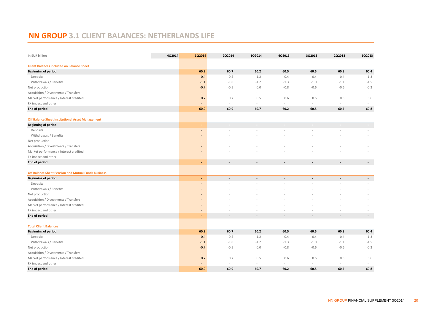# **NN GROUP 3.1 CLIENT BALANCES: NETHERLANDS LIFE**

| In EUR billion                                             | 4Q2014 | 3Q2014                   | 2Q2014         | 1Q2014         | 4Q2013                   | 3Q2013                   | 2Q2013         | 1Q2013                   |
|------------------------------------------------------------|--------|--------------------------|----------------|----------------|--------------------------|--------------------------|----------------|--------------------------|
| <b>Client Balances included on Balance Sheet</b>           |        |                          |                |                |                          |                          |                |                          |
| <b>Beginning of period</b>                                 |        | 60.9                     | 60.7           | 60.2           | 60.5                     | 60.5                     | 60.8           | 60.4                     |
| Deposits                                                   |        | 0.4                      | 0.5            | 1.2            | 0.4                      | 0.4                      | 0.4            | 1.3                      |
| Withdrawals / Benefits                                     |        | $-1.1$                   | $-1.0$         | $-1.2$         | $-1.3$                   | $-1.0$                   | $-1.1$         | $-1.5$                   |
| Net production                                             |        | $-0.7$                   | $-0.5$         | 0.0            | $-0.8$                   | $-0.6$                   | $-0.6$         | $-0.2$                   |
| Acquisition / Divestments / Transfers                      |        | $\overline{\phantom{m}}$ | ÷.             | ÷.             | $\sim$                   | $\sim$                   | $\sim$         | $\sim$                   |
| Market performance / Interest credited                     |        | 0.7                      | 0.7            | 0.5            | 0.6                      | 0.6                      | 0.3            | 0.6                      |
| FX impact and other                                        |        |                          | $\sim$         | $\sim$         | $\sim$                   | $\sim$                   | $\sim$         |                          |
| <b>End of period</b>                                       |        | 60.9                     | 60.9           | 60.7           | 60.2                     | 60.5                     | 60.5           | 60.8                     |
| <b>Off Balance Sheet Institutional Asset Management</b>    |        |                          |                |                |                          |                          |                |                          |
| <b>Beginning of period</b>                                 |        | ٠                        | $\blacksquare$ | $\blacksquare$ | $\overline{\phantom{a}}$ | $\blacksquare$           | $\sim$         | $\overline{\phantom{a}}$ |
| Deposits                                                   |        |                          |                |                |                          |                          |                |                          |
| Withdrawals / Benefits                                     |        |                          |                |                |                          |                          |                |                          |
| Net production                                             |        |                          |                |                |                          |                          |                |                          |
| Acquisition / Divestments / Transfers                      |        | $\overline{\phantom{a}}$ |                |                |                          |                          |                |                          |
| Market performance / Interest credited                     |        |                          |                |                |                          |                          |                |                          |
| FX impact and other                                        |        |                          |                |                |                          |                          |                |                          |
| <b>End of period</b>                                       |        | ٠                        |                |                |                          |                          |                | $\overline{\phantom{a}}$ |
| <b>Off Balance Sheet Pension and Mutual Funds business</b> |        |                          |                |                |                          |                          |                |                          |
| <b>Beginning of period</b>                                 |        | ÷                        | $\blacksquare$ | $\blacksquare$ | $\bar{\phantom{a}}$      | $\overline{\phantom{a}}$ | $\blacksquare$ | $\sim$                   |
| Deposits                                                   |        |                          |                |                |                          |                          |                |                          |
| Withdrawals / Benefits                                     |        |                          |                |                |                          |                          |                |                          |
| Net production                                             |        |                          |                |                |                          |                          |                |                          |
| Acquisition / Divestments / Transfers                      |        |                          |                |                |                          |                          |                |                          |
| Market performance / Interest credited                     |        |                          |                |                |                          |                          |                |                          |
| FX impact and other                                        |        | $\overline{\phantom{a}}$ |                |                |                          |                          |                |                          |
| <b>End of period</b>                                       |        |                          | $\overline{a}$ | $\sim$         |                          |                          |                | $\overline{a}$           |
| <b>Total Client Balances</b>                               |        |                          |                |                |                          |                          |                |                          |
| <b>Beginning of period</b>                                 |        | 60.9                     | 60.7           | 60.2           | 60.5                     | 60.5                     | 60.8           | 60.4                     |
| Deposits                                                   |        | 0.4                      | 0.5            | 1.2            | 0.4                      | 0.4                      | 0.4            | 1.3                      |
| Withdrawals / Benefits                                     |        | $-1.1$                   | $-1.0$         | $-1.2$         | $-1.3$                   | $-1.0$                   | $-1.1$         | $-1.5$                   |
| Net production                                             |        | $-0.7$                   | $-0.5$         | 0.0            | $-0.8$                   | $-0.6$                   | $-0.6$         | $-0.2$                   |
| Acquisition / Divestments / Transfers                      |        | $\overline{\phantom{a}}$ | ÷.             | ÷.             | $\sim$                   | $\sim$                   |                |                          |
| Market performance / Interest credited                     |        | 0.7                      | 0.7            | 0.5            | 0.6                      | 0.6                      | 0.3            | 0.6                      |
| FX impact and other                                        |        |                          | ÷.             | ÷              |                          |                          |                |                          |
| <b>End of period</b>                                       |        | 60.9                     | 60.9           | 60.7           | 60.2                     | 60.5                     | 60.5           | 60.8                     |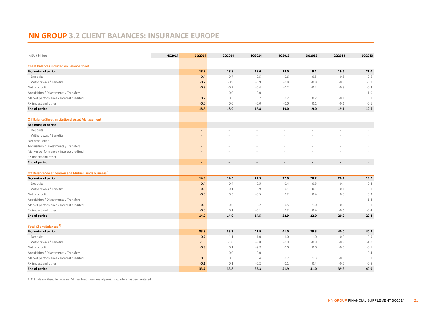# **NN GROUP 3.2 CLIENT BALANCES: INSURANCE EUROPE**

| In EUR billion                                                    | 4Q2014 | 3Q2014                   | 2Q2014 | 1Q2014                   | 4Q2013 | 3Q2013                   | 2Q2013                   | 1Q2013                   |
|-------------------------------------------------------------------|--------|--------------------------|--------|--------------------------|--------|--------------------------|--------------------------|--------------------------|
| <b>Client Balances included on Balance Sheet</b>                  |        |                          |        |                          |        |                          |                          |                          |
| <b>Beginning of period</b>                                        |        | 18.9                     | 18.8   | 19.0                     | 19.0   | 19.1                     | 19.6                     | 21.0                     |
| Deposits                                                          |        | 0.4                      | 0.7    | 0.5                      | 0.6    | 0.5                      | 0.5                      | 0.5                      |
| Withdrawals / Benefits                                            |        | $-0.7$                   | $-0.9$ | $-0.9$                   | $-0.8$ | $-0.8$                   | $-0.8$                   | $-0.9$                   |
| Net production                                                    |        | $-0.3$                   | $-0.2$ | $-0.4$                   | $-0.2$ | $-0.4$                   | $-0.3$                   | $-0.4$                   |
| Acquisition / Divestments / Transfers                             |        | $\blacksquare$           | 0.0    | 0.0                      | $\sim$ | $\sim$                   | $\sim$                   | $-1.0$                   |
| Market performance / Interest credited                            |        | 0.2                      | 0.3    | 0.2                      | 0.2    | 0.2                      | $-0.1$                   | 0.1                      |
| FX impact and other                                               |        | $-0.0$                   | 0.0    | $-0.0$                   | $-0.0$ | 0.1                      | $-0.1$                   | $-0.1$                   |
| <b>End of period</b>                                              |        | 18.8                     | 18.9   | 18.8                     | 19.0   | 19.0                     | 19.1                     | 19.6                     |
| <b>Off Balance Sheet Institutional Asset Management</b>           |        |                          |        |                          |        |                          |                          |                          |
| <b>Beginning of period</b>                                        |        | $\blacksquare$           | $\sim$ | $\overline{\phantom{a}}$ | $\sim$ | $\overline{\phantom{a}}$ | $\overline{\phantom{a}}$ | $\sim$                   |
| Deposits                                                          |        |                          |        |                          |        |                          |                          |                          |
| Withdrawals / Benefits                                            |        |                          |        |                          |        |                          |                          |                          |
| Net production                                                    |        |                          |        |                          |        |                          |                          |                          |
| Acquisition / Divestments / Transfers                             |        |                          |        |                          |        |                          |                          |                          |
| Market performance / Interest credited                            |        |                          |        |                          |        |                          |                          |                          |
| FX impact and other                                               |        |                          |        |                          |        |                          |                          |                          |
| <b>End of period</b>                                              |        | ٠                        |        |                          |        |                          | $\overline{\phantom{a}}$ | $\overline{\phantom{a}}$ |
| Off Balance Sheet Pension and Mutual Funds business <sup>1)</sup> |        |                          |        |                          |        |                          |                          |                          |
| <b>Beginning of period</b>                                        |        | 14.9                     | 14.5   | 22.9                     | 22.0   | 20.2                     | 20.4                     | 19.2                     |
| Deposits                                                          |        | 0.4                      | 0.4    | 0.5                      | 0.4    | 0.5                      | 0.4                      | 0.4                      |
| Withdrawals / Benefits                                            |        | $-0.6$                   | $-0.1$ | $-8.9$                   | $-0.1$ | $-0.1$                   | $-0.1$                   | $-0.1$                   |
| Net production                                                    |        | $-0.3$                   | 0.3    | $-8.5$                   | 0.2    | 0.4                      | 0.3                      | 0.3                      |
| Acquisition / Divestments / Transfers                             |        | $\overline{\phantom{a}}$ | $\sim$ | $\sim$                   | $\sim$ | $\sim$                   | $\sim$                   | 1.4                      |
| Market performance / Interest credited                            |        | 0.3                      | 0.0    | 0.2                      | 0.5    | 1.0                      | 0.0                      | $-0.1$                   |
| FX impact and other                                               |        | $-0.0$                   | 0.1    | $-0.1$                   | 0.2    | 0.4                      | $-0.6$                   | $-0.4$                   |
| <b>End of period</b>                                              |        | 14.9                     | 14.9   | 14.5                     | 22.9   | 22.0                     | 20.2                     | 20.4                     |
| <b>Total Client Balances<sup>1)</sup></b>                         |        |                          |        |                          |        |                          |                          |                          |
| <b>Beginning of period</b>                                        |        | 33.8                     | 33.3   | 41.9                     | 41.0   | 39.3                     | 40.0                     | 40.2                     |
| Deposits                                                          |        | 0.7                      | 1.1    | 1.0                      | 1.0    | 1.0                      | 0.9                      | 0.9                      |
| Withdrawals / Benefits                                            |        | $-1.3$                   | $-1.0$ | $-9.8$                   | $-0.9$ | $-0.9$                   | $-0.9$                   | $-1.0$                   |
| Net production                                                    |        | $-0.6$                   | 0.1    | $-8.8$                   | 0.0    | 0.0                      | $-0.0$                   | $-0.1$                   |
| Acquisition / Divestments / Transfers                             |        |                          | 0.0    | 0.0                      |        |                          | $\sim$                   | 0.4                      |
| Market performance / Interest credited                            |        | 0.5                      | 0.3    | 0.4                      | 0.7    | 1.3                      | $-0.0$                   | 0.1                      |
| FX impact and other                                               |        | $-0.1$                   | 0.1    | $-0.2$                   | 0.1    | 0.4                      | $-0.7$                   | $-0.5$                   |
| <b>End of period</b>                                              |        | 33.7                     | 33.8   | 33.3                     | 41.9   | 41.0                     | 39.3                     | 40.0                     |

1) Off Balance Sheet Pension and Mutual Funds business of previous quarters has been restated.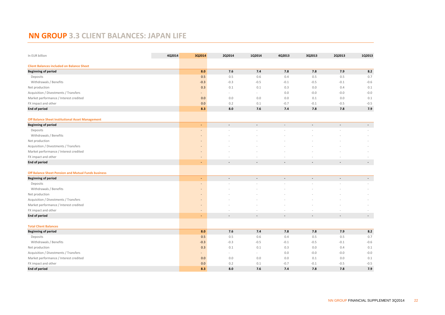# **NN GROUP 3.3 CLIENT BALANCES: JAPAN LIFE**

| In EUR billion                                          | 4Q2014 | 3Q2014                   | 2Q2014                   | 1Q2014                   | 4Q2013                   | 3Q2013                   | 2Q2013         | 1Q2013                   |
|---------------------------------------------------------|--------|--------------------------|--------------------------|--------------------------|--------------------------|--------------------------|----------------|--------------------------|
| <b>Client Balances included on Balance Sheet</b>        |        |                          |                          |                          |                          |                          |                |                          |
| <b>Beginning of period</b>                              |        | 8.0                      | 7.6                      | 7.4                      | 7.8                      | 7.8                      | 7.9            | 8.2                      |
| Deposits                                                |        | 0.5                      | 0.5                      | 0.6                      | 0.4                      | 0.5                      | 0.5            | 0.7                      |
| Withdrawals / Benefits                                  |        | $-0.3$                   | $-0.3$                   | $-0.5$                   | $-0.1$                   | $-0.5$                   | $-0.1$         | $-0.6$                   |
| Net production                                          |        | 0.3                      | 0.1                      | 0.1                      | 0.3                      | 0.0                      | 0.4            | 0.1                      |
| Acquisition / Divestments / Transfers                   |        | $\qquad \qquad =$        | ÷,                       | ä,                       | 0.0                      | $-0.0$                   | $-0.0$         | $-0.0$                   |
| Market performance / Interest credited                  |        | 0.0                      | 0.0                      | 0.0                      | 0.0                      | 0.1                      | 0.0            | 0.1                      |
| FX impact and other                                     |        | 0.0                      | 0.2                      | 0.1                      | $-0.7$                   | $-0.1$                   | $-0.5$         | $-0.5$                   |
| <b>End of period</b>                                    |        | 8.3                      | 8.0                      | 7.6                      | 7.4                      | 7.8                      | 7.8            | 7.9                      |
| <b>Off Balance Sheet Institutional Asset Management</b> |        |                          |                          |                          |                          |                          |                |                          |
| <b>Beginning of period</b>                              |        | ٠                        | $\overline{\phantom{a}}$ | $\overline{\phantom{a}}$ | $\overline{\phantom{a}}$ | $\overline{\phantom{a}}$ | $\blacksquare$ | $\sim$                   |
| Deposits                                                |        |                          |                          |                          |                          |                          |                |                          |
| Withdrawals / Benefits                                  |        |                          |                          |                          |                          |                          |                |                          |
| Net production                                          |        |                          |                          |                          |                          |                          |                |                          |
| Acquisition / Divestments / Transfers                   |        | ٠                        |                          |                          |                          |                          |                |                          |
| Market performance / Interest credited                  |        |                          |                          |                          |                          |                          |                |                          |
| FX impact and other                                     |        |                          |                          |                          |                          |                          |                |                          |
| <b>End of period</b>                                    |        | $\overline{\phantom{a}}$ | $\overline{a}$           | $\overline{a}$           | $\overline{\phantom{a}}$ |                          |                | $\overline{\phantom{a}}$ |
| Off Balance Sheet Pension and Mutual Funds business     |        |                          |                          |                          |                          |                          |                |                          |
| <b>Beginning of period</b>                              |        | ٠                        | $\blacksquare$           | $\blacksquare$           | $\blacksquare$           | $\blacksquare$           | $\blacksquare$ | $\sim$                   |
| Deposits                                                |        | ٠                        |                          |                          |                          |                          |                |                          |
| Withdrawals / Benefits                                  |        |                          |                          |                          |                          |                          |                |                          |
| Net production                                          |        |                          |                          |                          |                          |                          |                |                          |
| Acquisition / Divestments / Transfers                   |        |                          |                          |                          |                          |                          |                |                          |
| Market performance / Interest credited                  |        | $\qquad \qquad =$        |                          |                          |                          |                          |                |                          |
| FX impact and other                                     |        | ٠                        |                          |                          |                          |                          |                |                          |
| <b>End of period</b>                                    |        |                          | $\overline{a}$           | $\overline{a}$           | $\overline{\phantom{a}}$ | $\sim$                   |                | $\overline{\phantom{a}}$ |
| <b>Total Client Balances</b>                            |        |                          |                          |                          |                          |                          |                |                          |
| <b>Beginning of period</b>                              |        | 8.0                      | 7.6                      | 7.4                      | 7.8                      | 7.8                      | 7.9            | 8.2                      |
| Deposits                                                |        | 0.5                      | 0.5                      | 0.6                      | 0.4                      | 0.5                      | 0.5            | 0.7                      |
| Withdrawals / Benefits                                  |        | $-0.3$                   | $-0.3$                   | $-0.5$                   | $-0.1$                   | $-0.5$                   | $-0.1$         | $-0.6$                   |
| Net production                                          |        | 0.3                      | 0.1                      | 0.1                      | 0.3                      | 0.0                      | 0.4            | 0.1                      |
| Acquisition / Divestments / Transfers                   |        |                          | ÷,                       | $\sim$                   | 0.0                      | $-0.0$                   | $-0.0$         | $-0.0$                   |
| Market performance / Interest credited                  |        | 0.0                      | 0.0                      | 0.0                      | 0.0                      | 0.1                      | 0.0            | 0.1                      |
| FX impact and other                                     |        | 0.0                      | 0.2                      | 0.1                      | $-0.7$                   | $-0.1$                   | $-0.5$         | $-0.5$                   |
| <b>End of period</b>                                    |        | 8.3                      | 8.0                      | 7.6                      | 7.4                      | 7.8                      | 7.8            | 7.9                      |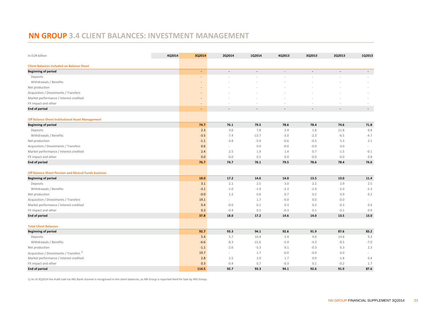# **NN GROUP 3.4 CLIENT BALANCES: INVESTMENT MANAGEMENT**

| In EUR billion                                      | 4Q2014 | 3Q2014                   | 2Q2014         | 1Q2014  | 4Q2013 | 3Q2013 | 2Q2013 | 1Q2013         |
|-----------------------------------------------------|--------|--------------------------|----------------|---------|--------|--------|--------|----------------|
| <b>Client Balances included on Balance Sheet</b>    |        |                          |                |         |        |        |        |                |
| <b>Beginning of period</b>                          |        | $\blacksquare$           | $\blacksquare$ | ä,      |        |        |        |                |
| Deposits                                            |        |                          |                |         |        |        |        |                |
| Withdrawals / Benefits                              |        |                          |                |         |        |        |        |                |
| Net production                                      |        |                          |                |         |        |        |        |                |
| Acquisition / Divestments / Transfers               |        |                          |                |         |        |        |        |                |
| Market performance / Interest credited              |        |                          |                |         |        |        |        |                |
| FX impact and other                                 |        | $\overline{\phantom{a}}$ |                |         |        |        |        |                |
| <b>End of period</b>                                |        | ٠                        | $\blacksquare$ |         |        |        |        | $\blacksquare$ |
| Off Balance Sheet Institutional Asset Management    |        |                          |                |         |        |        |        |                |
| <b>Beginning of period</b>                          |        | 74.7                     | 76.1           | 79.5    | 78.6   | 78.4   | 74.6   | 71.8           |
| Deposits                                            |        | 2.3                      | 3.6            | 7.8     | 2.4    | 1.8    | 11.8   | 6.8            |
| Withdrawals / Benefits                              |        | $-3.5$                   | $-7.4$         | $-13.7$ | $-3.0$ | $-2.3$ | $-6.5$ | $-4.7$         |
| Net production                                      |        | $-1.1$                   | $-3.8$         | $-5.9$  | $-0.6$ | $-0.5$ | 5.3    | 2.1            |
| Acquisition / Divestments / Transfers               |        | 0.6                      | $\omega$       | 0.0     | $-0.0$ | $-0.0$ | 0.0    | $\sim$         |
| Market performance / Interest credited              |        | 2.4                      | 2.5            | 1.9     | 1.4    | 0.7    | $-1.5$ | $-0.1$         |
| FX impact and other                                 |        | 0.0                      | $-0.0$         | 0.5     | 0.0    | $-0.0$ | $-0.0$ | 0.8            |
| <b>End of period</b>                                |        | 76.7                     | 74.7           | 76.1    | 79.5   | 78.6   | 78.4   | 74.6           |
| Off Balance Sheet Pension and Mutual Funds business |        |                          |                |         |        |        |        |                |
| <b>Beginning of period</b>                          |        | 18.0                     | 17.2           | 14.6    | 14.0   | 13.5   | 13.0   | 11.4           |
| Deposits                                            |        | 3.1                      | 2.1            | 2.5     | 3.0    | 2.2    | 2.9    | 2.5            |
| Withdrawals / Benefits                              |        | $-3.1$                   | $-1.0$         | $-1.9$  | $-2.3$ | $-2.0$ | $-2.0$ | $-2.3$         |
| Net production                                      |        | $-0.0$                   | 1.2            | 0.6     | 0.7    | 0.2    | 0.9    | 0.2            |
| Acquisition / Divestments / Transfers               |        | 19.1                     | $\omega$       | 1.7     | $-0.0$ | 0.0    | $-0.0$ | $\sim$         |
| Market performance / Interest credited              |        | 0.4                      | $-0.0$         | 0.1     | 0.3    | 0.2    | $-0.3$ | 0.4            |
| FX impact and other                                 |        | 0.3                      | $-0.4$         | 0.2     | $-0.3$ | 0.1    | $-0.1$ | 0.9            |
| <b>End of period</b>                                |        | 37.8                     | 18.0           | 17.2    | 14.6   | 14.0   | 13.5   | 13.0           |
| <b>Total Client Balances</b>                        |        |                          |                |         |        |        |        |                |
| <b>Beginning of period</b>                          |        | 92.7                     | 93.3           | 94.1    | 92.6   | 91.9   | 87.6   | 83.2           |
| Deposits                                            |        | 5.4                      | 5.7            | 10.4    | 5.4    | 4.0    | 14.8   | 9.3            |
| Withdrawals / Benefits                              |        | $-6.6$                   | $-8.3$         | $-15.6$ | $-5.4$ | $-4.3$ | $-8.5$ | $-7.0$         |
| Net production                                      |        | $-1.1$                   | $-2.6$         | $-5.3$  | 0.1    | $-0.3$ | 6.3    | 2.3            |
| Acquisition / Divestments / Transfers <sup>1)</sup> |        | 19.7                     | ä,             | 1.7     | $-0.0$ | $-0.0$ | 0.0    |                |
| Market performance / Interest credited              |        | 2.8                      | 2.5            | 2.0     | 1.7    | 0.9    | $-1.8$ | 0.4            |
| FX impact and other                                 |        | 0.3                      | $-0.4$         | 0.7     | $-0.3$ | 0.1    | $-0.2$ | 1.7            |
| <b>End of period</b>                                |        | 114.5                    | 92.7           | 93.3    | 94.1   | 92.6   | 91.9   | 87.6           |

1) As of 3Q2014 the AuM sold via ING Bank channel is recognised in the client balances, as NN Group is reported Held for Sale by ING Group.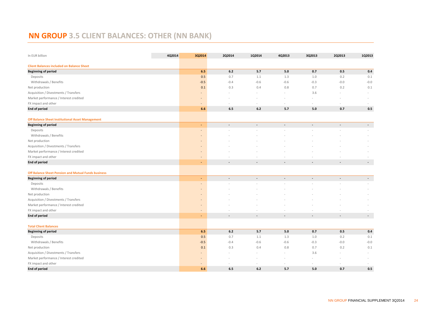# **NN GROUP 3.5 CLIENT BALANCES: OTHER (NN BANK)**

| In EUR billion                                      | 4Q2014 | 3Q2014                       | 2Q2014         | 1Q2014                   | 4Q2013                   | 3Q2013                   | 2Q2013                   | 1Q2013                   |
|-----------------------------------------------------|--------|------------------------------|----------------|--------------------------|--------------------------|--------------------------|--------------------------|--------------------------|
| <b>Client Balances included on Balance Sheet</b>    |        |                              |                |                          |                          |                          |                          |                          |
| <b>Beginning of period</b>                          |        | 6.5                          | $6.2$          | 5.7                      | 5.0                      | 0.7                      | 0.5                      | 0.4                      |
| Deposits                                            |        | 0.5                          | 0.7            | 1.1                      | 1.3                      | 1.0                      | 0.2                      | 0.1                      |
| Withdrawals / Benefits                              |        | $-0.5$                       | $-0.4$         | $-0.6$                   | $-0.6$                   | $-0.3$                   | $-0.0$                   | $-0.0$                   |
| Net production                                      |        | 0.1                          | 0.3            | 0.4                      | 0.8                      | 0.7                      | 0.2                      | 0.1                      |
| Acquisition / Divestments / Transfers               |        |                              |                |                          |                          | 3.6                      |                          |                          |
| Market performance / Interest credited              |        |                              |                |                          |                          |                          |                          |                          |
| FX impact and other                                 |        | $\qquad \qquad \blacksquare$ |                | $\overline{\phantom{a}}$ | $\sim$                   | $\sim$                   |                          |                          |
| <b>End of period</b>                                |        | 6.6                          | 6.5            | 6.2                      | 5.7                      | 5.0                      | 0.7                      | 0.5                      |
| Off Balance Sheet Institutional Asset Management    |        |                              |                |                          |                          |                          |                          |                          |
| <b>Beginning of period</b>                          |        | ٠                            | $\blacksquare$ | $\blacksquare$           | $\blacksquare$           | $\overline{a}$           | $\overline{\phantom{a}}$ | $\sim$                   |
| Deposits                                            |        |                              |                |                          |                          |                          |                          |                          |
| Withdrawals / Benefits                              |        | ٠                            |                |                          |                          |                          |                          |                          |
| Net production                                      |        |                              |                |                          |                          |                          |                          |                          |
| Acquisition / Divestments / Transfers               |        | $\overline{a}$               |                |                          |                          |                          |                          |                          |
| Market performance / Interest credited              |        |                              |                |                          |                          |                          |                          |                          |
| FX impact and other                                 |        |                              |                |                          |                          |                          |                          |                          |
| <b>End of period</b>                                |        | Ξ                            | $\overline{a}$ | $\overline{a}$           | $\blacksquare$           |                          |                          | $\overline{\phantom{a}}$ |
| Off Balance Sheet Pension and Mutual Funds business |        |                              |                |                          |                          |                          |                          |                          |
| <b>Beginning of period</b>                          |        | ٠                            | $\blacksquare$ | $\blacksquare$           | $\blacksquare$           | $\blacksquare$           | $\sim$                   | $\sim$                   |
| Deposits                                            |        |                              |                |                          |                          |                          |                          |                          |
| Withdrawals / Benefits                              |        |                              |                |                          |                          |                          |                          |                          |
| Net production                                      |        |                              |                |                          |                          |                          |                          |                          |
| Acquisition / Divestments / Transfers               |        |                              |                |                          |                          |                          |                          |                          |
| Market performance / Interest credited              |        | $\overline{a}$               |                |                          |                          |                          |                          |                          |
| FX impact and other                                 |        |                              |                |                          |                          |                          |                          |                          |
| <b>End of period</b>                                |        | ٠                            | $\blacksquare$ | $\overline{a}$           | $\overline{\phantom{a}}$ | $\overline{\phantom{a}}$ | $\overline{\phantom{a}}$ | $\overline{\phantom{a}}$ |
| <b>Total Client Balances</b>                        |        |                              |                |                          |                          |                          |                          |                          |
| <b>Beginning of period</b>                          |        | 6.5                          | 6.2            | 5.7                      | 5.0                      | 0.7                      | 0.5                      | 0.4                      |
| Deposits                                            |        | 0.5                          | 0.7            | 1.1                      | 1.3                      | 1.0                      | 0.2                      | 0.1                      |
| Withdrawals / Benefits                              |        | $-0.5$                       | $-0.4$         | $-0.6$                   | $-0.6$                   | $-0.3$                   | $-0.0$                   | $-0.0$                   |
| Net production                                      |        | 0.1                          | 0.3            | 0.4                      | 0.8                      | 0.7                      | 0.2                      | 0.1                      |
| Acquisition / Divestments / Transfers               |        |                              |                |                          |                          | 3.6                      |                          |                          |
| Market performance / Interest credited              |        |                              |                |                          |                          |                          |                          |                          |
| FX impact and other                                 |        |                              |                |                          |                          |                          |                          |                          |
| <b>End of period</b>                                |        | 6.6                          | 6.5            | 6.2                      | 5.7                      | 5.0                      | 0.7                      | 0.5                      |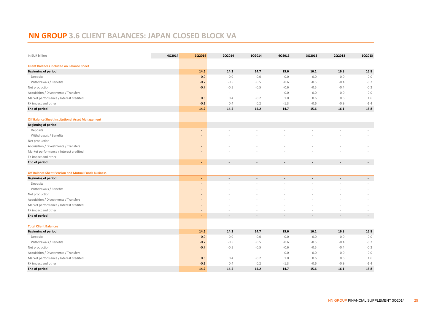# **NN GROUP 3.6 CLIENT BALANCES: JAPAN CLOSED BLOCK VA**

| In EUR billion                                             | 4Q2014 | 3Q2014                   | 2Q2014         | 1Q2014         | 4Q2013         | 3Q2013                   | 2Q2013                   | 1Q2013                   |
|------------------------------------------------------------|--------|--------------------------|----------------|----------------|----------------|--------------------------|--------------------------|--------------------------|
| <b>Client Balances included on Balance Sheet</b>           |        |                          |                |                |                |                          |                          |                          |
| <b>Beginning of period</b>                                 |        | 14.5                     | 14.2           | 14.7           | 15.6           | 16.1                     | 16.8                     | 16.8                     |
| Deposits                                                   |        | 0.0                      | 0.0            | 0.0            | 0.0            | 0.0                      | 0.0                      | 0.0                      |
| Withdrawals / Benefits                                     |        | $-0.7$                   | $-0.5$         | $-0.5$         | $-0.6$         | $-0.5$                   | $-0.4$                   | $-0.2$                   |
| Net production                                             |        | $-0.7$                   | $-0.5$         | $-0.5$         | $-0.6$         | $-0.5$                   | $-0.4$                   | $-0.2$                   |
| Acquisition / Divestments / Transfers                      |        | ÷,                       | $\blacksquare$ | $\bar{a}$      | $-0.0$         | 0.0                      | 0.0                      | 0.0                      |
| Market performance / Interest credited                     |        | 0.6                      | 0.4            | $-0.2$         | 1.0            | 0.6                      | 0.6                      | 1.6                      |
| FX impact and other                                        |        | $-0.1$                   | 0.4            | 0.2            | $-1.3$         | $-0.6$                   | $-0.9$                   | $-1.4$                   |
| <b>End of period</b>                                       |        | 14.2                     | 14.5           | 14.2           | 14.7           | 15.6                     | 16.1                     | 16.8                     |
| <b>Off Balance Sheet Institutional Asset Management</b>    |        |                          |                |                |                |                          |                          |                          |
| <b>Beginning of period</b>                                 |        | ٠                        | $\blacksquare$ | $\blacksquare$ | $\sim$         | $\sim$                   | $\sim$                   | $\sim$                   |
| Deposits                                                   |        |                          |                |                |                |                          |                          |                          |
| Withdrawals / Benefits                                     |        |                          |                |                |                |                          |                          |                          |
| Net production                                             |        |                          |                |                |                |                          |                          |                          |
| Acquisition / Divestments / Transfers                      |        | $\overline{a}$           |                |                |                |                          |                          |                          |
| Market performance / Interest credited                     |        |                          |                |                |                |                          |                          |                          |
| FX impact and other                                        |        |                          |                |                |                |                          |                          |                          |
| <b>End of period</b>                                       |        | ÷                        | $\overline{a}$ |                |                |                          |                          | $\overline{\phantom{a}}$ |
| <b>Off Balance Sheet Pension and Mutual Funds business</b> |        |                          |                |                |                |                          |                          |                          |
| <b>Beginning of period</b>                                 |        | ٠                        | $\blacksquare$ | $\blacksquare$ | $\blacksquare$ | $\overline{\phantom{a}}$ | $\overline{\phantom{a}}$ | $\sim$                   |
| Deposits                                                   |        |                          |                |                |                |                          |                          |                          |
| Withdrawals / Benefits                                     |        |                          |                |                |                |                          |                          |                          |
| Net production                                             |        |                          |                |                |                |                          |                          |                          |
| Acquisition / Divestments / Transfers                      |        |                          |                |                |                |                          |                          |                          |
| Market performance / Interest credited                     |        |                          |                |                |                |                          |                          |                          |
| FX impact and other                                        |        | -                        |                |                |                |                          |                          |                          |
| <b>End of period</b>                                       |        |                          | $\overline{a}$ | $\overline{a}$ |                |                          |                          | $\overline{\phantom{a}}$ |
| <b>Total Client Balances</b>                               |        |                          |                |                |                |                          |                          |                          |
| <b>Beginning of period</b>                                 |        | 14.5                     | 14.2           | 14.7           | 15.6           | 16.1                     | 16.8                     | 16.8                     |
| Deposits                                                   |        | 0.0                      | 0.0            | 0.0            | 0.0            | 0.0                      | 0.0                      | 0.0                      |
| Withdrawals / Benefits                                     |        | $-0.7$                   | $-0.5$         | $-0.5$         | $-0.6$         | $-0.5$                   | $-0.4$                   | $-0.2$                   |
| Net production                                             |        | $-0.7$                   | $-0.5$         | $-0.5$         | $-0.6$         | $-0.5$                   | $-0.4$                   | $-0.2$                   |
| Acquisition / Divestments / Transfers                      |        | $\overline{\phantom{a}}$ | ÷.             | $\sim$         | $-0.0$         | 0.0                      | 0.0                      | 0.0                      |
| Market performance / Interest credited                     |        | 0.6                      | 0.4            | $-0.2$         | 1.0            | 0.6                      | 0.6                      | 1.6                      |
| FX impact and other                                        |        | $-0.1$                   | 0.4            | 0.2            | $-1.3$         | $-0.6$                   | $-0.9$                   | $-1.4$                   |
| <b>End of period</b>                                       |        | 14.2                     | 14.5           | 14.2           | 14.7           | 15.6                     | 16.1                     | 16.8                     |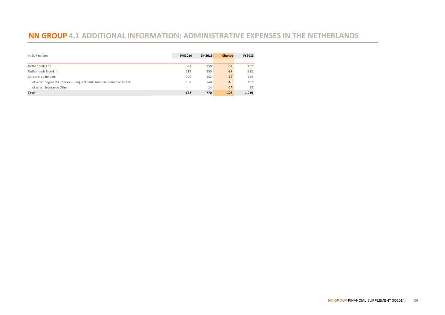# **NN GROUP 4.1 ADDITIONAL INFORMATION: ADMINISTRATIVE EXPENSES IN THE NETHERLANDS**

| In EUR million                                                    | 9M2014 | 9M2013 | Change | FY2013 |
|-------------------------------------------------------------------|--------|--------|--------|--------|
|                                                                   |        |        |        |        |
| Netherlands Life                                                  | 343    | 358    | $-14$  | 472    |
| Netherlands Non-Life                                              | 218    | 250    | $-32$  | 332    |
| Corporate / holding                                               | 100    | 162    | $-62$  | 214    |
| of which segment Other excluding NN Bank and reinsurance business | 100    | 148    | $-48$  | 197    |
| of which Insurance Other                                          | $\sim$ | 14     | $-14$  | 18     |
| <b>Total</b>                                                      | 662    | 770    | $-108$ | 1,019  |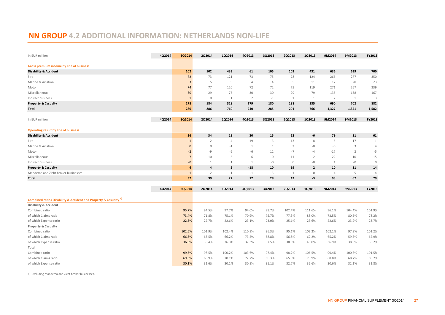## **NN GROUP 4.2 ADDITIONAL INFORMATION: NETHERLANDS NON-LIFE**

| In EUR million                                                                                                  | 4Q2014 | 3Q2014                  | 2Q2014         | 1Q2014         | 4Q2013         | 3Q2013         | 2Q2013         | 1Q2013         | 9M2014         | 9M2013         | FY2013         |
|-----------------------------------------------------------------------------------------------------------------|--------|-------------------------|----------------|----------------|----------------|----------------|----------------|----------------|----------------|----------------|----------------|
|                                                                                                                 |        |                         |                |                |                |                |                |                |                |                |                |
| Gross premium income by line of business<br><b>Disability &amp; Accident</b>                                    |        | 102                     | 102            | 433            | 61             | 105            | 103            | 431            | 636            | 639            | 700            |
| Fire                                                                                                            |        | 72                      | 73             | 121            | 73             | 75             | 78             | 124            | 266            | 277            | 350            |
| Marine & Aviation                                                                                               |        | $\overline{\mathbf{3}}$ | 5              | $\overline{9}$ | $\overline{4}$ | $\overline{4}$ | 5              | 11             | 17             | 20             | 23             |
| Motor                                                                                                           |        | 74                      | 77             | 120            | 72             | 72             | 75             | 119            | 271            | 267            | 339            |
| Miscellaneous                                                                                                   |        | 30 <sup>°</sup>         | 29             | 76             | 30             | 30             | 29             | 79             | 135            | 138            | 167            |
| Indirect business                                                                                               |        | $\mathbf{1}$            | $\mathbf 0$    | 1              | $\overline{2}$ | $-1$           | 1              | 1              | $\overline{2}$ | 1              | $\overline{3}$ |
| <b>Property &amp; Casualty</b>                                                                                  |        | 178                     | 184            | 328            | 179            | 180            | 188            | 335            | 690            | 702            | 882            |
| Total                                                                                                           |        | 280                     | 286            | 760            | 240            | 285            | 291            | 766            | 1,327          | 1,341          | 1,582          |
|                                                                                                                 |        |                         |                |                |                |                |                |                |                |                |                |
| In EUR million                                                                                                  | 4Q2014 | 3Q2014                  | 2Q2014         | 1Q2014         | 4Q2013         | 3Q2013         | 2Q2013         | 1Q2013         | 9M2014         | 9M2013         | FY2013         |
|                                                                                                                 |        |                         |                |                |                |                |                |                |                |                |                |
| <b>Operating result by line of business</b>                                                                     |        |                         |                |                |                |                |                |                |                |                |                |
| <b>Disability &amp; Accident</b>                                                                                |        | 26                      | 34             | 19             | 30             | 15             | 22             | -6             | 79             | 31             | 61             |
| Fire                                                                                                            |        | $-1$                    | $\overline{2}$ | 4              | $-19$          | $-3$           | 13             | 8              | 5              | 17             | $-1$           |
| Marine & Aviation                                                                                               |        | $\mathbf{0}$            | $\mathbb O$    | $-1$           | $\mathbf{1}$   | $\mathbf{1}$   | $\overline{2}$ | $-0$           | $-0$           | 3              | $\overline{4}$ |
| Motor                                                                                                           |        | $-2$                    | $-9$           | -6             | -6             | 12             | $-7$           | $-4$           | $-17$          | $\overline{2}$ | $-5$           |
| Miscellaneous                                                                                                   |        | $\overline{7}$          | 10             | 5              | 6              | $\mathbb O$    | 11             | $-2$           | 22             | 10             | 15             |
| Indirect business                                                                                               |        | $-0$                    | $\mathbf{1}$   | $\mathbf{1}$   | $\mathbf{1}$   | $-0$           | $\mathbb O$    | $-0$           | 1              | $-0$           | $\mathbb O$    |
| <b>Property &amp; Casualty</b>                                                                                  |        | 4                       | 4              | $\overline{2}$ | $-18$          | 10             | 19             | $\overline{2}$ | 10             | 31             | 14             |
| Mandema and Zicht broker businesses                                                                             |        | $\mathbf{1}$            | $\overline{2}$ | 1              | $-1$           | 3              | 1              | $\mathbb O$    | $\overline{4}$ | 5              | $\overline{4}$ |
| Total                                                                                                           |        | 32                      | 39             | 22             | 12             | 28             | 42             | -3             | 93             | 67             | 79             |
|                                                                                                                 |        |                         |                |                |                |                |                |                |                |                |                |
|                                                                                                                 | 4Q2014 | 3Q2014                  | 2Q2014         | 1Q2014         | 4Q2013         | 3Q2013         | 2Q2013         | 1Q2013         | 9M2014         | 9M2013         | FY2013         |
|                                                                                                                 |        |                         |                |                |                |                |                |                |                |                |                |
| Combined ratios Disability & Accident and Property & Casualty <sup>1)</sup><br><b>Disability &amp; Accident</b> |        |                         |                |                |                |                |                |                |                |                |                |
| Combined ratio                                                                                                  |        | 95.7%                   | 94.5%          | 97.7%          | 94.0%          | 98.7%          | 102.4%         | 111.6%         | 96.1%          | 104.4%         | 101.9%         |
| of which Claims ratio                                                                                           |        | 73.4%                   | 71.8%          | 75.1%          | 70.9%          | 75.7%          | 77.3%          | 88.0%          | 73.5%          | 80.5%          | 78.2%          |
| of which Expense ratio                                                                                          |        | 22.3%                   | 22.7%          | 22.6%          | 23.1%          | 23.0%          | 25.1%          | 23.6%          | 22.6%          | 23.9%          | 23.7%          |
| <b>Property &amp; Casualty</b>                                                                                  |        |                         |                |                |                |                |                |                |                |                |                |
| Combined ratio                                                                                                  |        | 102.6%                  | 101.9%         | 102.4%         | 110.9%         | 96.3%          | 95.1%          | 102.2%         | 102.1%         | 97.9%          | 101.2%         |
| of which Claims ratio                                                                                           |        | 66.3%                   | 63.5%          | 66.2%          | 73.5%          | 58.8%          | 56.8%          | 62.2%          | 65.2%          | 59.3%          | 62.9%          |
| of which Expense ratio                                                                                          |        | 36.3%                   | 38.4%          | 36.3%          | 37.3%          | 37.5%          | 38.3%          | 40.0%          | 36.9%          | 38.6%          | 38.2%          |
| Total                                                                                                           |        |                         |                |                |                |                |                |                |                |                |                |
| Combined ratio                                                                                                  |        | 99.6%                   | 98.5%          | 100.2%         | 103.6%         | 97.4%          | 98.2%          | 106.5%         | 99.4%          | 100.8%         | 101.5%         |
| of which Claims ratio                                                                                           |        | 69.5%                   | 66.9%          | 70.1%          | 72.7%          | 66.3%          | 65.5%          | 73.9%          | 68.8%          | 68.7%          | 69.7%          |
| of which Expense ratio                                                                                          |        | 30.1%                   | 31.6%          | 30.1%          | 30.9%          | 31.1%          | 32.7%          | 32.6%          | 30.6%          | 32.1%          | 31.8%          |
|                                                                                                                 |        |                         |                |                |                |                |                |                |                |                |                |

1) Excluding Mandema and Zicht broker businesses.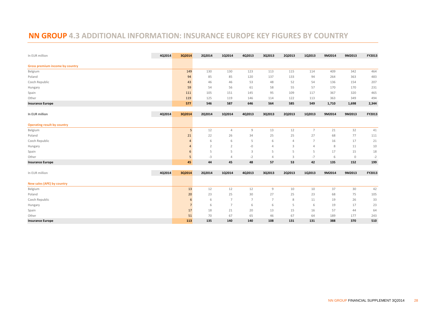# **NN GROUP 4.3 ADDITIONAL INFORMATION: INSURANCE EUROPE KEY FIGURES BY COUNTRY**

| In EUR million                     | 4Q2014 | 3Q2014         | 2Q2014         | 1Q2014         | 4Q2013         | 3Q2013         | 2Q2013 | 1Q2013         | 9M2014 | 9M2013      | FY2013 |
|------------------------------------|--------|----------------|----------------|----------------|----------------|----------------|--------|----------------|--------|-------------|--------|
| Gross premium income by country    |        |                |                |                |                |                |        |                |        |             |        |
| Belgium                            |        | 149            | 130            | 130            | 123            | 113            | 115    | 114            | 409    | 342         | 464    |
| Poland                             |        | 94             | 85             | 85             | 120            | 137            | 133    | 94             | 264    | 363         | 483    |
| Czech Republic                     |        | 43             | 46             | 46             | 53             | 48             | 52     | 54             | 136    | 154         | 207    |
| Hungary                            |        | 59             | 54             | 56             | 61             | 58             | 55     | 57             | 170    | 170         | 231    |
| Spain                              |        | 111            | 105            | 151            | 145            | 95             | 109    | 117            | 367    | 320         | 465    |
| Other                              |        | 119            | 125            | 119            | 146            | 114            | 122    | 113            | 363    | 349         | 494    |
| <b>Insurance Europe</b>            |        | 577            | 546            | 587            | 646            | 564            | 585    | 549            | 1,710  | 1,698       | 2,344  |
| In EUR million                     | 4Q2014 | 3Q2014         | 2Q2014         | 1Q2014         | 4Q2013         | 3Q2013         | 2Q2013 | 1Q2013         | 9M2014 | 9M2013      | FY2013 |
|                                    |        |                |                |                |                |                |        |                |        |             |        |
| <b>Operating result by country</b> |        |                |                |                |                |                |        |                |        |             |        |
| Belgium                            |        | 5              | 12             | $\overline{4}$ | $\overline{9}$ | 13             | 12     | $\overline{7}$ | 21     | 32          | 41     |
| Poland                             |        | 21             | 22             | 26             | 34             | 25             | 25     | 27             | 68     | 77          | 111    |
| Czech Republic                     |        | 4              | 6              | 6              | 5              | 6              | 4      | $\overline{7}$ | 16     | 17          | 21     |
| Hungary                            |        | $\overline{4}$ | $\overline{2}$ | $\overline{2}$ | $-0$           | $\overline{4}$ | 3      | $\overline{4}$ | 8      | 11          | 10     |
| Spain                              |        | 6              | 5              | 5              | $\overline{3}$ | 5              | 5      | 5              | 17     | 15          | 18     |
| Other                              |        | 5              | $-3$           | $\overline{4}$ | $-2$           | $\overline{4}$ | 3      | $-7$           | 6      | $\mathbf 0$ | $-2$   |
| <b>Insurance Europe</b>            |        | 45             | 44             | 45             | 48             | 57             | 53     | 42             | 135    | 152         | 199    |
| In EUR million                     | 4Q2014 | 3Q2014         | 2Q2014         | 1Q2014         | 4Q2013         | 3Q2013         | 2Q2013 | 1Q2013         | 9M2014 | 9M2013      | FY2013 |
|                                    |        |                |                |                |                |                |        |                |        |             |        |
| New sales (APE) by country         |        |                |                |                |                |                |        |                |        |             |        |
| Belgium                            |        | 13             | 12             | 12             | 12             | $\mathsf 9$    | 10     | 10             | 37     | 30          | 42     |
| Poland                             |        | 20             | 23             | 25             | 30             | 27             | 25     | 23             | 68     | 75          | 105    |
| Czech Republic                     |        | 6              | 6              | $\overline{7}$ | $\overline{7}$ | $\overline{7}$ | 8      | 11             | 19     | 26          | 33     |
| Hungary                            |        | $\overline{7}$ | 6              | $\overline{7}$ | 6              | 6              | 5      | 6              | 19     | 17          | 23     |
| Spain                              |        | 17             | 18             | 21             | 20             | 13             | 15     | 16             | 57     | 44          | 64     |
| Other                              |        | 51             | 70             | 67             | 65             | 46             | 67     | 64             | 189    | 177         | 243    |
| <b>Insurance Europe</b>            |        | 113            | 135            | 140            | 140            | 108            | 131    | 131            | 388    | 370         | 510    |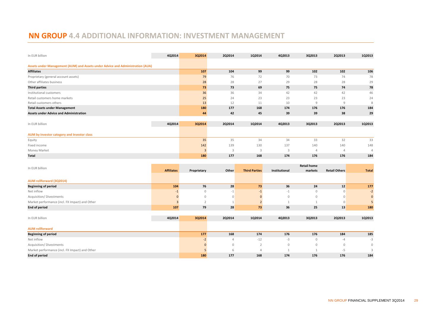## **NN GROUP 4.4 ADDITIONAL INFORMATION: INVESTMENT MANAGEMENT**

| In EUR billion                                                                 | 4Q2014               | 3Q2014         | 2Q2014       | 1Q2014               | 4Q2013        | 3Q2013             | 2Q2013               | 1Q2013         |
|--------------------------------------------------------------------------------|----------------------|----------------|--------------|----------------------|---------------|--------------------|----------------------|----------------|
| Assets under Management (AUM) and Assets under Advice and Administration (AUA) |                      |                |              |                      |               |                    |                      |                |
| <b>Affiliates</b>                                                              |                      | 107            | 104          | 99                   | 99            | 102                | 102                  | 106            |
| Proprietary (general account assets)                                           |                      | 79             | 76           | 72                   | 70            | 73                 | 74                   | 78             |
| Other affiliates business                                                      |                      | 28             | 28           | 27                   | 29            | 28                 | 28                   | 29             |
| <b>Third parties</b>                                                           |                      | 73             | 73           | 69                   | 75            | 75                 | 74                   | 78             |
| Institutional customers                                                        |                      | 36             | 36           | 34                   | 42            | 42                 | 42                   | 46             |
| Retail customers home markets                                                  |                      | 25             | 24           | 23                   | 23            | 23                 | 23                   | 24             |
| Retail customers others                                                        |                      | 13             | 12           | 11                   | 10            | 9                  | 9                    | 8              |
| <b>Total Assets under Management</b>                                           |                      | 180            | 177          | 168                  | 174           | 176                | 176                  | 184            |
| <b>Assets under Advice and Administration</b>                                  |                      | 44             | 42           | 45                   | 39            | 39                 | 38                   | 29             |
|                                                                                |                      |                |              |                      |               |                    |                      |                |
| In EUR billion                                                                 | 4Q2014               | 3Q2014         | 2Q2014       | 1Q2014               | 4Q2013        | 3Q2013             | 2Q2013               | 1Q2013         |
|                                                                                |                      |                |              |                      |               |                    |                      |                |
| AUM by investor category and Investor class                                    |                      |                |              |                      |               |                    |                      |                |
| Equity                                                                         |                      | 35             | 35           | 34                   | 34            | 33                 | 32                   | 33             |
| Fixed income                                                                   |                      | 142            | 139          | 130                  | 137           | 140                | 140                  | 148            |
| Money Market                                                                   |                      | $\overline{3}$ | 3            | 3                    | 3             | $\overline{4}$     | $\overline{4}$       | $\overline{4}$ |
| <b>Total</b>                                                                   |                      | 180            | 177          | 168                  | 174           | 176                | 176                  | 184            |
|                                                                                |                      |                |              |                      |               |                    |                      |                |
| In EUR billion                                                                 |                      |                |              |                      |               | <b>Retail home</b> |                      |                |
|                                                                                | <b>Affiliates</b>    | Proprietary    | Other        | <b>Third Parties</b> | Institutional | markets            | <b>Retail Others</b> | <b>Total</b>   |
| AUM rollforward (3Q2014)                                                       |                      |                |              |                      |               |                    |                      |                |
| <b>Beginning of period</b>                                                     | 104                  | 76             | 28           | 73                   | 36            | 24                 | 12                   | 177            |
| Net inflow                                                                     |                      | $\mathbb O$    | $-1$         | $-1$                 | $-1$          | $\circ$            | $\mathbf{0}$         | $-2$           |
| Acquisition/Divestments                                                        | $-1$<br>$\mathbf{0}$ | $\mathbf 0$    | $\mathbf{0}$ | $\mathbf 0$          | $\mathbf 0$   | $\circ$            | $\mathbf{0}$         | $\mathbf{0}$   |
| Market performance (incl. FX Impact) and Other                                 |                      | $\overline{2}$ |              |                      | 1             |                    | $\circ$              | 5              |
|                                                                                | $\overline{3}$       |                | 1            | $\overline{2}$       |               | $\mathbf{1}$       |                      |                |
| <b>End of period</b>                                                           | 107                  | 79             | 28           | 73                   | 36            | 25                 | 13                   | 180            |
| In EUR billion                                                                 | 4Q2014               |                | 2Q2014       | 1Q2014               | 4Q2013        | 3Q2013             | 2Q2013               | 1Q2013         |
|                                                                                |                      | 3Q2014         |              |                      |               |                    |                      |                |
|                                                                                |                      |                |              |                      |               |                    |                      |                |

| <b>AUM rollforward</b>                         |     |     |       |     |     |     |     |
|------------------------------------------------|-----|-----|-------|-----|-----|-----|-----|
| Beginning of period                            | 177 | 168 | 174   | 176 | 176 | 184 | 185 |
| Net inflow                                     |     | 4   | $-12$ |     |     |     | -3  |
| Acquisition/Divestments                        |     |     |       |     |     |     |     |
| Market performance (incl. FX Impact) and Other |     |     |       |     |     |     |     |
| End of period                                  | 180 | 177 | 168   | 174 | 176 | 176 | 184 |